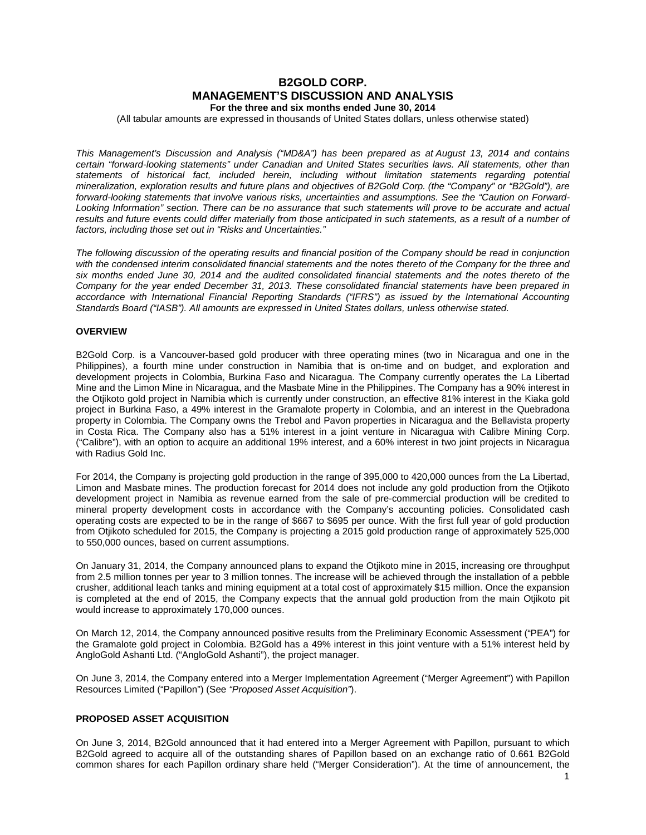# **B2GOLD CORP. MANAGEMENT'S DISCUSSION AND ANALYSIS**

**For the three and six months ended June 30, 2014**

(All tabular amounts are expressed in thousands of United States dollars, unless otherwise stated)

*This Management's Discussion and Analysis ("MD&A") has been prepared as at August 13, 2014 and contains certain "forward-looking statements" under Canadian and United States securities laws. All statements, other than statements of historical fact, included herein, including without limitation statements regarding potential mineralization, exploration results and future plans and objectives of B2Gold Corp. (the "Company" or "B2Gold"), are forward-looking statements that involve various risks, uncertainties and assumptions. See the "Caution on Forward-Looking Information" section. There can be no assurance that such statements will prove to be accurate and actual*  results and future events could differ materially from those anticipated in such statements, as a result of a number of *factors, including those set out in "Risks and Uncertainties."*

*The following discussion of the operating results and financial position of the Company should be read in conjunction with the condensed interim consolidated financial statements and the notes thereto of the Company for the three and six months ended June 30, 2014 and the audited consolidated financial statements and the notes thereto of the Company for the year ended December 31, 2013. These consolidated financial statements have been prepared in accordance with International Financial Reporting Standards ("IFRS") as issued by the International Accounting Standards Board ("IASB"). All amounts are expressed in United States dollars, unless otherwise stated.*

# **OVERVIEW**

B2Gold Corp. is a Vancouver-based gold producer with three operating mines (two in Nicaragua and one in the Philippines), a fourth mine under construction in Namibia that is on-time and on budget, and exploration and development projects in Colombia, Burkina Faso and Nicaragua. The Company currently operates the La Libertad Mine and the Limon Mine in Nicaragua, and the Masbate Mine in the Philippines. The Company has a 90% interest in the Otjikoto gold project in Namibia which is currently under construction, an effective 81% interest in the Kiaka gold project in Burkina Faso, a 49% interest in the Gramalote property in Colombia, and an interest in the Quebradona property in Colombia. The Company owns the Trebol and Pavon properties in Nicaragua and the Bellavista property in Costa Rica. The Company also has a 51% interest in a joint venture in Nicaragua with Calibre Mining Corp. ("Calibre"), with an option to acquire an additional 19% interest, and a 60% interest in two joint projects in Nicaragua with Radius Gold Inc.

For 2014, the Company is projecting gold production in the range of 395,000 to 420,000 ounces from the La Libertad, Limon and Masbate mines. The production forecast for 2014 does not include any gold production from the Otjikoto development project in Namibia as revenue earned from the sale of pre-commercial production will be credited to mineral property development costs in accordance with the Company's accounting policies. Consolidated cash operating costs are expected to be in the range of \$667 to \$695 per ounce. With the first full year of gold production from Otjikoto scheduled for 2015, the Company is projecting a 2015 gold production range of approximately 525,000 to 550,000 ounces, based on current assumptions.

On January 31, 2014, the Company announced plans to expand the Otjikoto mine in 2015, increasing ore throughput from 2.5 million tonnes per year to 3 million tonnes. The increase will be achieved through the installation of a pebble crusher, additional leach tanks and mining equipment at a total cost of approximately \$15 million. Once the expansion is completed at the end of 2015, the Company expects that the annual gold production from the main Otjikoto pit would increase to approximately 170,000 ounces.

On March 12, 2014, the Company announced positive results from the Preliminary Economic Assessment ("PEA") for the Gramalote gold project in Colombia. B2Gold has a 49% interest in this joint venture with a 51% interest held by AngloGold Ashanti Ltd. ("AngloGold Ashanti"), the project manager.

On June 3, 2014, the Company entered into a Merger Implementation Agreement ("Merger Agreement") with Papillon Resources Limited ("Papillon") (See *"Proposed Asset Acquisition"*).

# **PROPOSED ASSET ACQUISITION**

On June 3, 2014, B2Gold announced that it had entered into a Merger Agreement with Papillon, pursuant to which B2Gold agreed to acquire all of the outstanding shares of Papillon based on an exchange ratio of 0.661 B2Gold common shares for each Papillon ordinary share held ("Merger Consideration"). At the time of announcement, the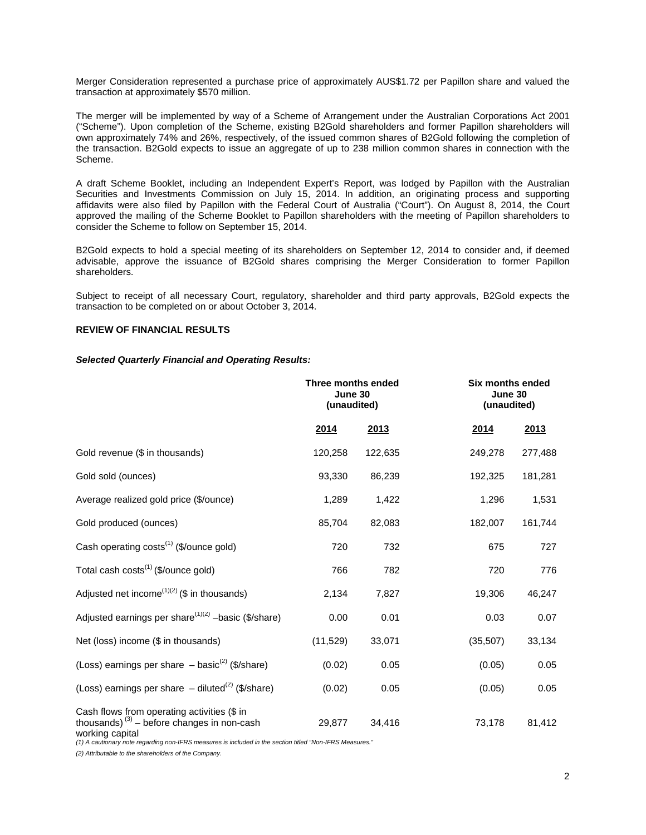Merger Consideration represented a purchase price of approximately AUS\$1.72 per Papillon share and valued the transaction at approximately \$570 million.

The merger will be implemented by way of a Scheme of Arrangement under the Australian Corporations Act 2001 ("Scheme"). Upon completion of the Scheme, existing B2Gold shareholders and former Papillon shareholders will own approximately 74% and 26%, respectively, of the issued common shares of B2Gold following the completion of the transaction. B2Gold expects to issue an aggregate of up to 238 million common shares in connection with the Scheme.

A draft Scheme Booklet, including an Independent Expert's Report, was lodged by Papillon with the Australian Securities and Investments Commission on July 15, 2014. In addition, an originating process and supporting affidavits were also filed by Papillon with the Federal Court of Australia ("Court"). On August 8, 2014, the Court approved the mailing of the Scheme Booklet to Papillon shareholders with the meeting of Papillon shareholders to consider the Scheme to follow on September 15, 2014.

B2Gold expects to hold a special meeting of its shareholders on September 12, 2014 to consider and, if deemed advisable, approve the issuance of B2Gold shares comprising the Merger Consideration to former Papillon shareholders.

Subject to receipt of all necessary Court, regulatory, shareholder and third party approvals, B2Gold expects the transaction to be completed on or about October 3, 2014.

# **REVIEW OF FINANCIAL RESULTS**

#### *Selected Quarterly Financial and Operating Results:*

|                                                                                                                          | Three months ended<br>June 30<br>(unaudited) |         | Six months ended<br>June 30 | (unaudited) |
|--------------------------------------------------------------------------------------------------------------------------|----------------------------------------------|---------|-----------------------------|-------------|
|                                                                                                                          | 2014                                         | 2013    | <u>2014</u>                 | 2013        |
| Gold revenue (\$ in thousands)                                                                                           | 120,258                                      | 122,635 | 249,278                     | 277,488     |
| Gold sold (ounces)                                                                                                       | 93,330                                       | 86,239  | 192,325                     | 181,281     |
| Average realized gold price (\$/ounce)                                                                                   | 1,289                                        | 1,422   | 1,296                       | 1,531       |
| Gold produced (ounces)                                                                                                   | 85,704                                       | 82,083  | 182,007                     | 161,744     |
| Cash operating costs <sup>(1)</sup> (\$/ounce gold)                                                                      | 720                                          | 732     | 675                         | 727         |
| Total cash costs <sup>(1)</sup> (\$/ounce gold)                                                                          | 766                                          | 782     | 720                         | 776         |
| Adjusted net income <sup><math>(1)(2)</math></sup> (\$ in thousands)                                                     | 2,134                                        | 7,827   | 19,306                      | 46,247      |
| Adjusted earnings per share <sup><math>(1)(2)</math></sup> -basic (\$/share)                                             | 0.00                                         | 0.01    | 0.03                        | 0.07        |
| Net (loss) income (\$ in thousands)                                                                                      | (11, 529)                                    | 33,071  | (35,507)                    | 33,134      |
| (Loss) earnings per share $-$ basic <sup>(2)</sup> (\$/share)                                                            | (0.02)                                       | 0.05    | (0.05)                      | 0.05        |
| (Loss) earnings per share $-$ diluted <sup>(2)</sup> (\$/share)                                                          | (0.02)                                       | 0.05    | (0.05)                      | 0.05        |
| Cash flows from operating activities (\$ in<br>thousands) <sup>(3)</sup> – before changes in non-cash<br>working capital | 29,877                                       | 34,416  | 73,178                      | 81,412      |

*(1) A cautionary note regarding non-IFRS measures is included in the section titled "Non-IFRS Measures."*

*(2) Attributable to the shareholders of the Company.*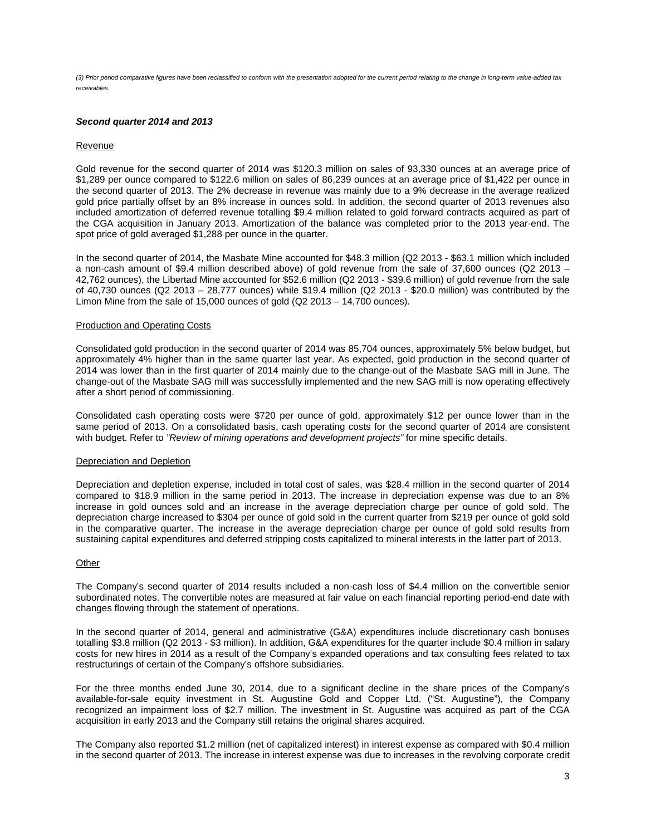*(3) Prior period comparative figures have been reclassified to conform with the presentation adopted for the current period relating to the change in long-term value-added tax receivables.* 

### *Second quarter 2014 and 2013*

#### Revenue

Gold revenue for the second quarter of 2014 was \$120.3 million on sales of 93,330 ounces at an average price of \$1,289 per ounce compared to \$122.6 million on sales of 86,239 ounces at an average price of \$1,422 per ounce in the second quarter of 2013. The 2% decrease in revenue was mainly due to a 9% decrease in the average realized gold price partially offset by an 8% increase in ounces sold. In addition, the second quarter of 2013 revenues also included amortization of deferred revenue totalling \$9.4 million related to gold forward contracts acquired as part of the CGA acquisition in January 2013. Amortization of the balance was completed prior to the 2013 year-end. The spot price of gold averaged \$1,288 per ounce in the quarter.

In the second quarter of 2014, the Masbate Mine accounted for \$48.3 million (Q2 2013 - \$63.1 million which included a non-cash amount of \$9.4 million described above) of gold revenue from the sale of 37,600 ounces (Q2 2013 – 42,762 ounces), the Libertad Mine accounted for \$52.6 million (Q2 2013 - \$39.6 million) of gold revenue from the sale of 40,730 ounces (Q2 2013 – 28,777 ounces) while \$19.4 million (Q2 2013 - \$20.0 million) was contributed by the Limon Mine from the sale of 15,000 ounces of gold (Q2 2013 – 14,700 ounces).

#### Production and Operating Costs

Consolidated gold production in the second quarter of 2014 was 85,704 ounces, approximately 5% below budget, but approximately 4% higher than in the same quarter last year. As expected, gold production in the second quarter of 2014 was lower than in the first quarter of 2014 mainly due to the change-out of the Masbate SAG mill in June. The change-out of the Masbate SAG mill was successfully implemented and the new SAG mill is now operating effectively after a short period of commissioning.

Consolidated cash operating costs were \$720 per ounce of gold, approximately \$12 per ounce lower than in the same period of 2013. On a consolidated basis, cash operating costs for the second quarter of 2014 are consistent with budget. Refer to *"Review of mining operations and development projects"* for mine specific details.

#### Depreciation and Depletion

Depreciation and depletion expense, included in total cost of sales, was \$28.4 million in the second quarter of 2014 compared to \$18.9 million in the same period in 2013. The increase in depreciation expense was due to an 8% increase in gold ounces sold and an increase in the average depreciation charge per ounce of gold sold. The depreciation charge increased to \$304 per ounce of gold sold in the current quarter from \$219 per ounce of gold sold in the comparative quarter. The increase in the average depreciation charge per ounce of gold sold results from sustaining capital expenditures and deferred stripping costs capitalized to mineral interests in the latter part of 2013.

#### **Other**

The Company's second quarter of 2014 results included a non-cash loss of \$4.4 million on the convertible senior subordinated notes. The convertible notes are measured at fair value on each financial reporting period-end date with changes flowing through the statement of operations.

In the second quarter of 2014, general and administrative (G&A) expenditures include discretionary cash bonuses totalling \$3.8 million (Q2 2013 - \$3 million). In addition, G&A expenditures for the quarter include \$0.4 million in salary costs for new hires in 2014 as a result of the Company's expanded operations and tax consulting fees related to tax restructurings of certain of the Company's offshore subsidiaries.

For the three months ended June 30, 2014, due to a significant decline in the share prices of the Company's available-for-sale equity investment in St. Augustine Gold and Copper Ltd. ("St. Augustine"), the Company recognized an impairment loss of \$2.7 million. The investment in St. Augustine was acquired as part of the CGA acquisition in early 2013 and the Company still retains the original shares acquired.

The Company also reported \$1.2 million (net of capitalized interest) in interest expense as compared with \$0.4 million in the second quarter of 2013. The increase in interest expense was due to increases in the revolving corporate credit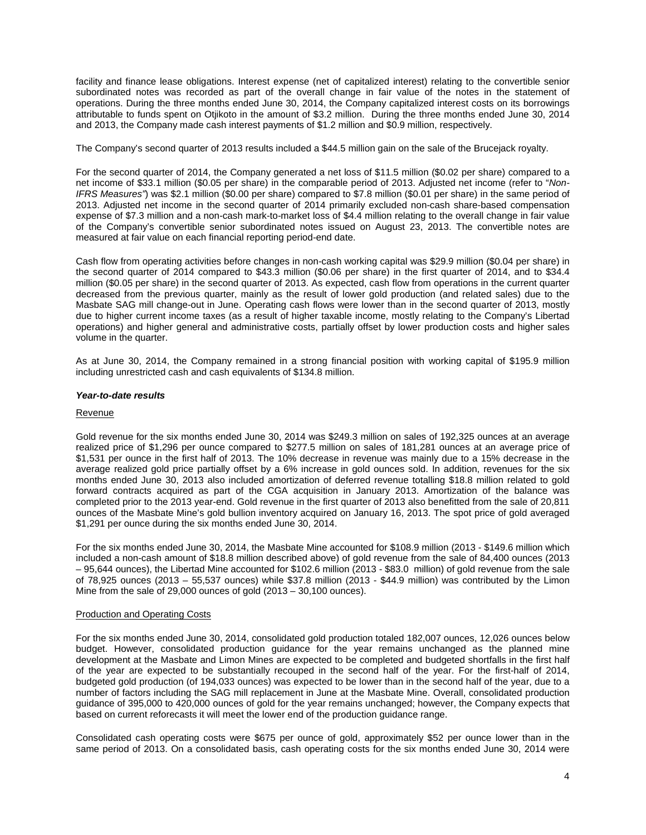facility and finance lease obligations. Interest expense (net of capitalized interest) relating to the convertible senior subordinated notes was recorded as part of the overall change in fair value of the notes in the statement of operations. During the three months ended June 30, 2014, the Company capitalized interest costs on its borrowings attributable to funds spent on Otjikoto in the amount of \$3.2 million. During the three months ended June 30, 2014 and 2013, the Company made cash interest payments of \$1.2 million and \$0.9 million, respectively.

The Company's second quarter of 2013 results included a \$44.5 million gain on the sale of the Brucejack royalty.

For the second quarter of 2014, the Company generated a net loss of \$11.5 million (\$0.02 per share) compared to a net income of \$33.1 million (\$0.05 per share) in the comparable period of 2013. Adjusted net income (refer to "*Non-IFRS Measures"*) was \$2.1 million (\$0.00 per share) compared to \$7.8 million (\$0.01 per share) in the same period of 2013. Adjusted net income in the second quarter of 2014 primarily excluded non-cash share-based compensation expense of \$7.3 million and a non-cash mark-to-market loss of \$4.4 million relating to the overall change in fair value of the Company's convertible senior subordinated notes issued on August 23, 2013. The convertible notes are measured at fair value on each financial reporting period-end date.

Cash flow from operating activities before changes in non-cash working capital was \$29.9 million (\$0.04 per share) in the second quarter of 2014 compared to \$43.3 million (\$0.06 per share) in the first quarter of 2014, and to \$34.4 million (\$0.05 per share) in the second quarter of 2013. As expected, cash flow from operations in the current quarter decreased from the previous quarter, mainly as the result of lower gold production (and related sales) due to the Masbate SAG mill change-out in June. Operating cash flows were lower than in the second quarter of 2013, mostly due to higher current income taxes (as a result of higher taxable income, mostly relating to the Company's Libertad operations) and higher general and administrative costs, partially offset by lower production costs and higher sales volume in the quarter.

As at June 30, 2014, the Company remained in a strong financial position with working capital of \$195.9 million including unrestricted cash and cash equivalents of \$134.8 million.

#### *Year-to-date results*

# Revenue

Gold revenue for the six months ended June 30, 2014 was \$249.3 million on sales of 192,325 ounces at an average realized price of \$1,296 per ounce compared to \$277.5 million on sales of 181,281 ounces at an average price of \$1,531 per ounce in the first half of 2013. The 10% decrease in revenue was mainly due to a 15% decrease in the average realized gold price partially offset by a 6% increase in gold ounces sold. In addition, revenues for the six months ended June 30, 2013 also included amortization of deferred revenue totalling \$18.8 million related to gold forward contracts acquired as part of the CGA acquisition in January 2013. Amortization of the balance was completed prior to the 2013 year-end. Gold revenue in the first quarter of 2013 also benefitted from the sale of 20,811 ounces of the Masbate Mine's gold bullion inventory acquired on January 16, 2013. The spot price of gold averaged \$1,291 per ounce during the six months ended June 30, 2014.

For the six months ended June 30, 2014, the Masbate Mine accounted for \$108.9 million (2013 - \$149.6 million which included a non-cash amount of \$18.8 million described above) of gold revenue from the sale of 84,400 ounces (2013 – 95,644 ounces), the Libertad Mine accounted for \$102.6 million (2013 - \$83.0 million) of gold revenue from the sale of 78,925 ounces (2013 – 55,537 ounces) while \$37.8 million (2013 - \$44.9 million) was contributed by the Limon Mine from the sale of 29,000 ounces of gold (2013 – 30,100 ounces).

#### Production and Operating Costs

For the six months ended June 30, 2014, consolidated gold production totaled 182,007 ounces, 12,026 ounces below budget. However, consolidated production guidance for the year remains unchanged as the planned mine development at the Masbate and Limon Mines are expected to be completed and budgeted shortfalls in the first half of the year are expected to be substantially recouped in the second half of the year. For the first-half of 2014, budgeted gold production (of 194,033 ounces) was expected to be lower than in the second half of the year, due to a number of factors including the SAG mill replacement in June at the Masbate Mine. Overall, consolidated production guidance of 395,000 to 420,000 ounces of gold for the year remains unchanged; however, the Company expects that based on current reforecasts it will meet the lower end of the production guidance range.

Consolidated cash operating costs were \$675 per ounce of gold, approximately \$52 per ounce lower than in the same period of 2013. On a consolidated basis, cash operating costs for the six months ended June 30, 2014 were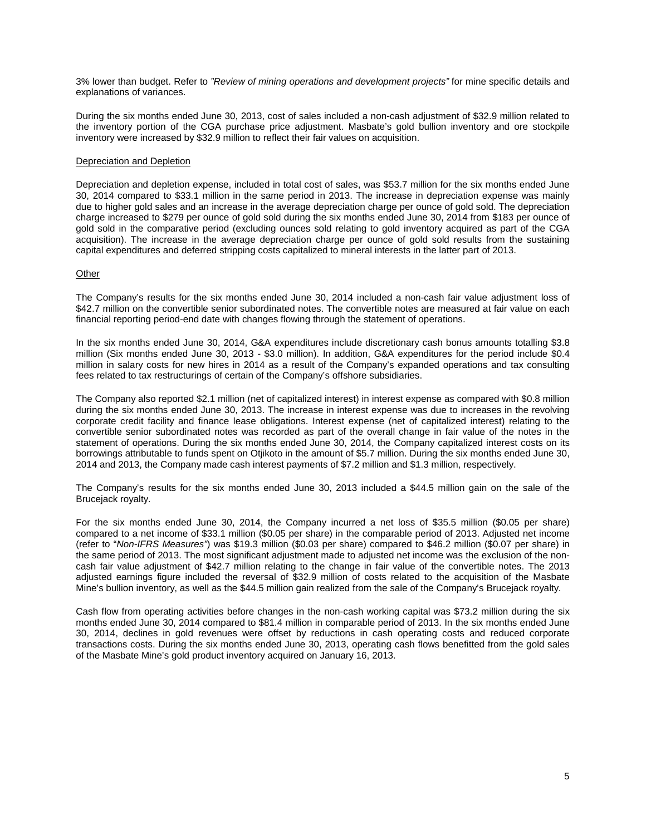3% lower than budget. Refer to *"Review of mining operations and development projects"* for mine specific details and explanations of variances.

During the six months ended June 30, 2013, cost of sales included a non-cash adjustment of \$32.9 million related to the inventory portion of the CGA purchase price adjustment. Masbate's gold bullion inventory and ore stockpile inventory were increased by \$32.9 million to reflect their fair values on acquisition.

#### Depreciation and Depletion

Depreciation and depletion expense, included in total cost of sales, was \$53.7 million for the six months ended June 30, 2014 compared to \$33.1 million in the same period in 2013. The increase in depreciation expense was mainly due to higher gold sales and an increase in the average depreciation charge per ounce of gold sold. The depreciation charge increased to \$279 per ounce of gold sold during the six months ended June 30, 2014 from \$183 per ounce of gold sold in the comparative period (excluding ounces sold relating to gold inventory acquired as part of the CGA acquisition). The increase in the average depreciation charge per ounce of gold sold results from the sustaining capital expenditures and deferred stripping costs capitalized to mineral interests in the latter part of 2013.

#### **Other**

The Company's results for the six months ended June 30, 2014 included a non-cash fair value adjustment loss of \$42.7 million on the convertible senior subordinated notes. The convertible notes are measured at fair value on each financial reporting period-end date with changes flowing through the statement of operations.

In the six months ended June 30, 2014, G&A expenditures include discretionary cash bonus amounts totalling \$3.8 million (Six months ended June 30, 2013 - \$3.0 million). In addition, G&A expenditures for the period include \$0.4 million in salary costs for new hires in 2014 as a result of the Company's expanded operations and tax consulting fees related to tax restructurings of certain of the Company's offshore subsidiaries.

The Company also reported \$2.1 million (net of capitalized interest) in interest expense as compared with \$0.8 million during the six months ended June 30, 2013. The increase in interest expense was due to increases in the revolving corporate credit facility and finance lease obligations. Interest expense (net of capitalized interest) relating to the convertible senior subordinated notes was recorded as part of the overall change in fair value of the notes in the statement of operations. During the six months ended June 30, 2014, the Company capitalized interest costs on its borrowings attributable to funds spent on Otjikoto in the amount of \$5.7 million. During the six months ended June 30, 2014 and 2013, the Company made cash interest payments of \$7.2 million and \$1.3 million, respectively.

The Company's results for the six months ended June 30, 2013 included a \$44.5 million gain on the sale of the Brucejack royalty.

For the six months ended June 30, 2014, the Company incurred a net loss of \$35.5 million (\$0.05 per share) compared to a net income of \$33.1 million (\$0.05 per share) in the comparable period of 2013. Adjusted net income (refer to "*Non-IFRS Measures"*) was \$19.3 million (\$0.03 per share) compared to \$46.2 million (\$0.07 per share) in the same period of 2013. The most significant adjustment made to adjusted net income was the exclusion of the noncash fair value adjustment of \$42.7 million relating to the change in fair value of the convertible notes. The 2013 adjusted earnings figure included the reversal of \$32.9 million of costs related to the acquisition of the Masbate Mine's bullion inventory, as well as the \$44.5 million gain realized from the sale of the Company's Brucejack royalty.

Cash flow from operating activities before changes in the non-cash working capital was \$73.2 million during the six months ended June 30, 2014 compared to \$81.4 million in comparable period of 2013. In the six months ended June 30, 2014, declines in gold revenues were offset by reductions in cash operating costs and reduced corporate transactions costs. During the six months ended June 30, 2013, operating cash flows benefitted from the gold sales of the Masbate Mine's gold product inventory acquired on January 16, 2013.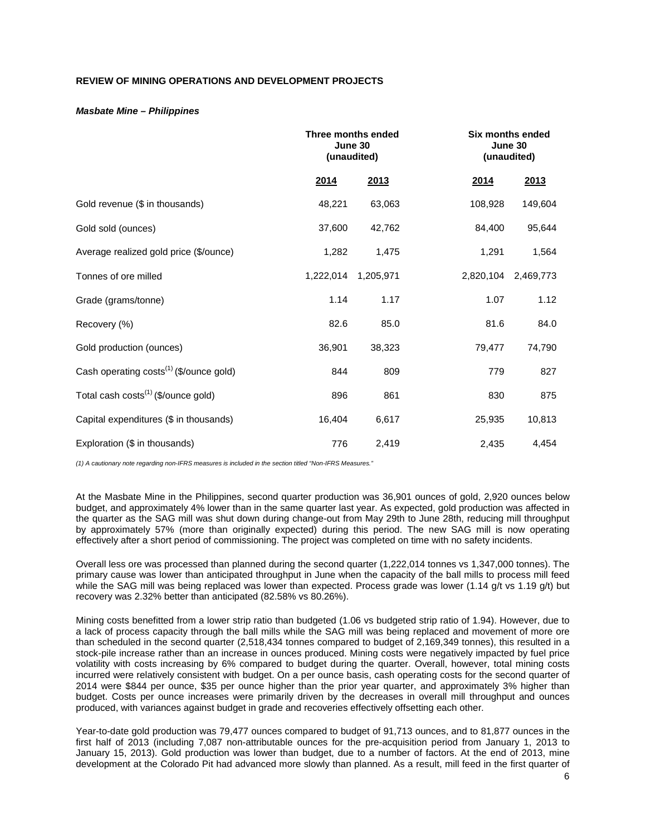# **REVIEW OF MINING OPERATIONS AND DEVELOPMENT PROJECTS**

#### *Masbate Mine – Philippines*

|                                                     | Three months ended<br>June 30<br>(unaudited) |           |           | <b>Six months ended</b><br>June 30<br>(unaudited) |  |
|-----------------------------------------------------|----------------------------------------------|-----------|-----------|---------------------------------------------------|--|
|                                                     | 2014                                         | 2013      | 2014      | 2013                                              |  |
| Gold revenue (\$ in thousands)                      | 48,221                                       | 63,063    | 108,928   | 149,604                                           |  |
| Gold sold (ounces)                                  | 37,600                                       | 42,762    | 84,400    | 95,644                                            |  |
| Average realized gold price (\$/ounce)              | 1,282                                        | 1,475     | 1,291     | 1,564                                             |  |
| Tonnes of ore milled                                | 1,222,014                                    | 1,205,971 | 2,820,104 | 2,469,773                                         |  |
| Grade (grams/tonne)                                 | 1.14                                         | 1.17      | 1.07      | 1.12                                              |  |
| Recovery (%)                                        | 82.6                                         | 85.0      | 81.6      | 84.0                                              |  |
| Gold production (ounces)                            | 36,901                                       | 38,323    | 79,477    | 74,790                                            |  |
| Cash operating costs <sup>(1)</sup> (\$/ounce gold) | 844                                          | 809       | 779       | 827                                               |  |
| Total cash costs <sup>(1)</sup> (\$/ounce gold)     | 896                                          | 861       | 830       | 875                                               |  |
| Capital expenditures (\$ in thousands)              | 16,404                                       | 6,617     | 25,935    | 10,813                                            |  |
| Exploration (\$ in thousands)                       | 776                                          | 2,419     | 2,435     | 4,454                                             |  |

*(1) A cautionary note regarding non-IFRS measures is included in the section titled "Non-IFRS Measures."* 

At the Masbate Mine in the Philippines, second quarter production was 36,901 ounces of gold, 2,920 ounces below budget, and approximately 4% lower than in the same quarter last year. As expected, gold production was affected in the quarter as the SAG mill was shut down during change-out from May 29th to June 28th, reducing mill throughput by approximately 57% (more than originally expected) during this period. The new SAG mill is now operating effectively after a short period of commissioning. The project was completed on time with no safety incidents.

Overall less ore was processed than planned during the second quarter (1,222,014 tonnes vs 1,347,000 tonnes). The primary cause was lower than anticipated throughput in June when the capacity of the ball mills to process mill feed while the SAG mill was being replaced was lower than expected. Process grade was lower (1.14 g/t vs 1.19 g/t) but recovery was 2.32% better than anticipated (82.58% vs 80.26%).

Mining costs benefitted from a lower strip ratio than budgeted (1.06 vs budgeted strip ratio of 1.94). However, due to a lack of process capacity through the ball mills while the SAG mill was being replaced and movement of more ore than scheduled in the second quarter (2,518,434 tonnes compared to budget of 2,169,349 tonnes), this resulted in a stock-pile increase rather than an increase in ounces produced. Mining costs were negatively impacted by fuel price volatility with costs increasing by 6% compared to budget during the quarter. Overall, however, total mining costs incurred were relatively consistent with budget. On a per ounce basis, cash operating costs for the second quarter of 2014 were \$844 per ounce, \$35 per ounce higher than the prior year quarter, and approximately 3% higher than budget. Costs per ounce increases were primarily driven by the decreases in overall mill throughput and ounces produced, with variances against budget in grade and recoveries effectively offsetting each other.

Year-to-date gold production was 79,477 ounces compared to budget of 91,713 ounces, and to 81,877 ounces in the first half of 2013 (including 7,087 non-attributable ounces for the pre-acquisition period from January 1, 2013 to January 15, 2013). Gold production was lower than budget, due to a number of factors. At the end of 2013, mine development at the Colorado Pit had advanced more slowly than planned. As a result, mill feed in the first quarter of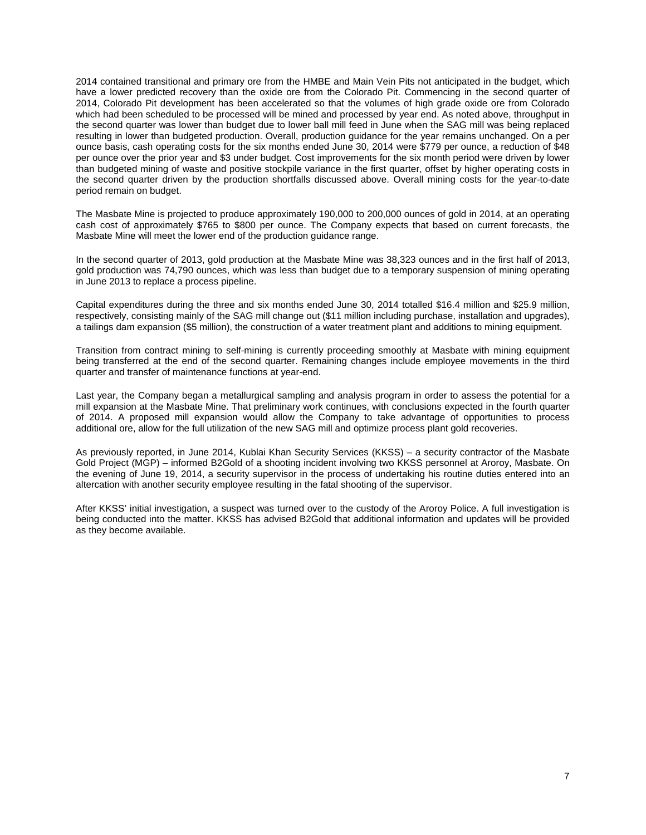2014 contained transitional and primary ore from the HMBE and Main Vein Pits not anticipated in the budget, which have a lower predicted recovery than the oxide ore from the Colorado Pit. Commencing in the second quarter of 2014, Colorado Pit development has been accelerated so that the volumes of high grade oxide ore from Colorado which had been scheduled to be processed will be mined and processed by year end. As noted above, throughput in the second quarter was lower than budget due to lower ball mill feed in June when the SAG mill was being replaced resulting in lower than budgeted production. Overall, production guidance for the year remains unchanged. On a per ounce basis, cash operating costs for the six months ended June 30, 2014 were \$779 per ounce, a reduction of \$48 per ounce over the prior year and \$3 under budget. Cost improvements for the six month period were driven by lower than budgeted mining of waste and positive stockpile variance in the first quarter, offset by higher operating costs in the second quarter driven by the production shortfalls discussed above. Overall mining costs for the year-to-date period remain on budget.

The Masbate Mine is projected to produce approximately 190,000 to 200,000 ounces of gold in 2014, at an operating cash cost of approximately \$765 to \$800 per ounce. The Company expects that based on current forecasts, the Masbate Mine will meet the lower end of the production guidance range.

In the second quarter of 2013, gold production at the Masbate Mine was 38,323 ounces and in the first half of 2013, gold production was 74,790 ounces, which was less than budget due to a temporary suspension of mining operating in June 2013 to replace a process pipeline.

Capital expenditures during the three and six months ended June 30, 2014 totalled \$16.4 million and \$25.9 million, respectively, consisting mainly of the SAG mill change out (\$11 million including purchase, installation and upgrades), a tailings dam expansion (\$5 million), the construction of a water treatment plant and additions to mining equipment.

Transition from contract mining to self-mining is currently proceeding smoothly at Masbate with mining equipment being transferred at the end of the second quarter. Remaining changes include employee movements in the third quarter and transfer of maintenance functions at year-end.

Last year, the Company began a metallurgical sampling and analysis program in order to assess the potential for a mill expansion at the Masbate Mine. That preliminary work continues, with conclusions expected in the fourth quarter of 2014. A proposed mill expansion would allow the Company to take advantage of opportunities to process additional ore, allow for the full utilization of the new SAG mill and optimize process plant gold recoveries.

As previously reported, in June 2014, Kublai Khan Security Services (KKSS) – a security contractor of the Masbate Gold Project (MGP) – informed B2Gold of a shooting incident involving two KKSS personnel at Aroroy, Masbate. On the evening of June 19, 2014, a security supervisor in the process of undertaking his routine duties entered into an altercation with another security employee resulting in the fatal shooting of the supervisor.

After KKSS' initial investigation, a suspect was turned over to the custody of the Aroroy Police. A full investigation is being conducted into the matter. KKSS has advised B2Gold that additional information and updates will be provided as they become available.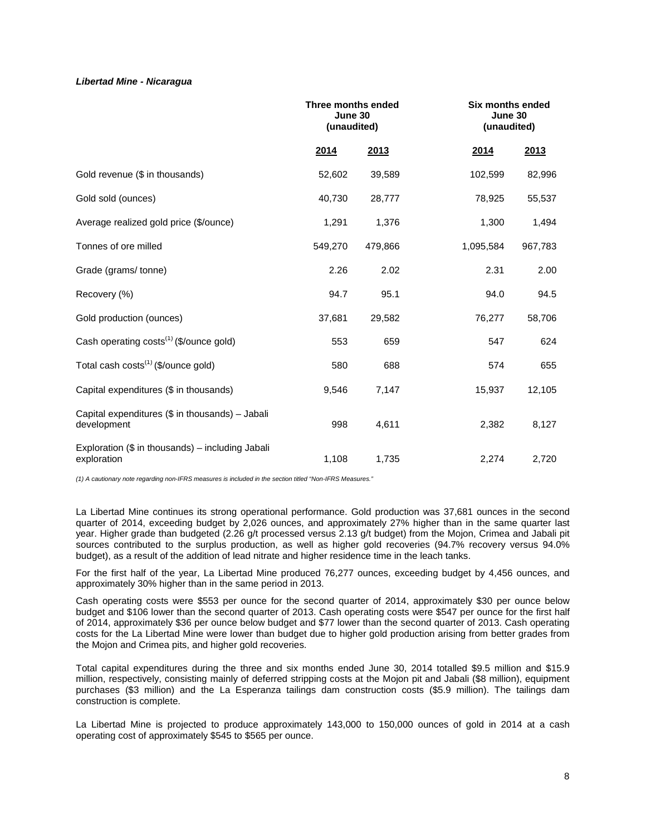#### *Libertad Mine - Nicaragua*

|                                                                 | Three months ended<br>June 30<br>(unaudited) |         |           | Six months ended<br>June 30<br>(unaudited) |  |  |
|-----------------------------------------------------------------|----------------------------------------------|---------|-----------|--------------------------------------------|--|--|
|                                                                 | 2014                                         | 2013    | 2014      | 2013                                       |  |  |
| Gold revenue (\$ in thousands)                                  | 52,602                                       | 39,589  | 102,599   | 82,996                                     |  |  |
| Gold sold (ounces)                                              | 40,730                                       | 28,777  | 78,925    | 55,537                                     |  |  |
| Average realized gold price (\$/ounce)                          | 1,291                                        | 1,376   | 1,300     | 1,494                                      |  |  |
| Tonnes of ore milled                                            | 549,270                                      | 479,866 | 1,095,584 | 967,783                                    |  |  |
| Grade (grams/tonne)                                             | 2.26                                         | 2.02    | 2.31      | 2.00                                       |  |  |
| Recovery (%)                                                    | 94.7                                         | 95.1    | 94.0      | 94.5                                       |  |  |
| Gold production (ounces)                                        | 37,681                                       | 29,582  | 76,277    | 58,706                                     |  |  |
| Cash operating costs <sup>(1)</sup> (\$/ounce gold)             | 553                                          | 659     | 547       | 624                                        |  |  |
| Total cash costs <sup>(1)</sup> (\$/ounce gold)                 | 580                                          | 688     | 574       | 655                                        |  |  |
| Capital expenditures (\$ in thousands)                          | 9,546                                        | 7,147   | 15,937    | 12,105                                     |  |  |
| Capital expenditures (\$ in thousands) - Jabali<br>development  | 998                                          | 4,611   | 2,382     | 8,127                                      |  |  |
| Exploration (\$ in thousands) - including Jabali<br>exploration | 1,108                                        | 1,735   | 2,274     | 2,720                                      |  |  |

*(1) A cautionary note regarding non-IFRS measures is included in the section titled "Non-IFRS Measures."* 

La Libertad Mine continues its strong operational performance. Gold production was 37,681 ounces in the second quarter of 2014, exceeding budget by 2,026 ounces, and approximately 27% higher than in the same quarter last year. Higher grade than budgeted (2.26 g/t processed versus 2.13 g/t budget) from the Mojon, Crimea and Jabali pit sources contributed to the surplus production, as well as higher gold recoveries (94.7% recovery versus 94.0% budget), as a result of the addition of lead nitrate and higher residence time in the leach tanks.

For the first half of the year, La Libertad Mine produced 76,277 ounces, exceeding budget by 4,456 ounces, and approximately 30% higher than in the same period in 2013.

Cash operating costs were \$553 per ounce for the second quarter of 2014, approximately \$30 per ounce below budget and \$106 lower than the second quarter of 2013. Cash operating costs were \$547 per ounce for the first half of 2014, approximately \$36 per ounce below budget and \$77 lower than the second quarter of 2013. Cash operating costs for the La Libertad Mine were lower than budget due to higher gold production arising from better grades from the Mojon and Crimea pits, and higher gold recoveries.

Total capital expenditures during the three and six months ended June 30, 2014 totalled \$9.5 million and \$15.9 million, respectively, consisting mainly of deferred stripping costs at the Mojon pit and Jabali (\$8 million), equipment purchases (\$3 million) and the La Esperanza tailings dam construction costs (\$5.9 million). The tailings dam construction is complete.

La Libertad Mine is projected to produce approximately 143,000 to 150,000 ounces of gold in 2014 at a cash operating cost of approximately \$545 to \$565 per ounce.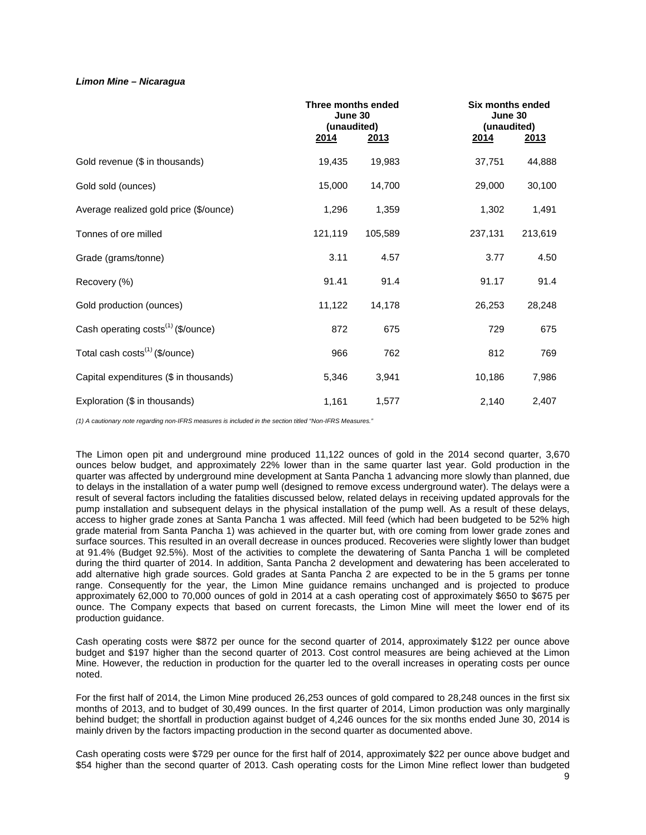#### *Limon Mine – Nicaragua*

|                                                | Three months ended<br>June 30<br>(unaudited)<br>2014 | <u> 2013 </u> | 2014    | Six months ended<br>June 30<br>(unaudited)<br><u> 2013 </u> |  |  |
|------------------------------------------------|------------------------------------------------------|---------------|---------|-------------------------------------------------------------|--|--|
| Gold revenue (\$ in thousands)                 | 19,435                                               | 19,983        | 37,751  | 44,888                                                      |  |  |
| Gold sold (ounces)                             | 15,000                                               | 14,700        | 29,000  | 30,100                                                      |  |  |
| Average realized gold price (\$/ounce)         | 1,296                                                | 1,359         | 1,302   | 1,491                                                       |  |  |
| Tonnes of ore milled                           | 121,119                                              | 105,589       | 237,131 | 213,619                                                     |  |  |
| Grade (grams/tonne)                            | 3.11                                                 | 4.57          | 3.77    | 4.50                                                        |  |  |
| Recovery (%)                                   | 91.41                                                | 91.4          | 91.17   | 91.4                                                        |  |  |
| Gold production (ounces)                       | 11,122                                               | 14,178        | 26,253  | 28,248                                                      |  |  |
| Cash operating costs <sup>(1)</sup> (\$/ounce) | 872                                                  | 675           | 729     | 675                                                         |  |  |
| Total cash costs <sup>(1)</sup> (\$/ounce)     | 966                                                  | 762           | 812     | 769                                                         |  |  |
| Capital expenditures (\$ in thousands)         | 5,346                                                | 3,941         | 10,186  | 7,986                                                       |  |  |
| Exploration (\$ in thousands)                  | 1,161                                                | 1,577         | 2,140   | 2,407                                                       |  |  |

*(1) A cautionary note regarding non-IFRS measures is included in the section titled "Non-IFRS Measures."*

The Limon open pit and underground mine produced 11,122 ounces of gold in the 2014 second quarter, 3,670 ounces below budget, and approximately 22% lower than in the same quarter last year. Gold production in the quarter was affected by underground mine development at Santa Pancha 1 advancing more slowly than planned, due to delays in the installation of a water pump well (designed to remove excess underground water). The delays were a result of several factors including the fatalities discussed below, related delays in receiving updated approvals for the pump installation and subsequent delays in the physical installation of the pump well. As a result of these delays, access to higher grade zones at Santa Pancha 1 was affected. Mill feed (which had been budgeted to be 52% high grade material from Santa Pancha 1) was achieved in the quarter but, with ore coming from lower grade zones and surface sources. This resulted in an overall decrease in ounces produced. Recoveries were slightly lower than budget at 91.4% (Budget 92.5%). Most of the activities to complete the dewatering of Santa Pancha 1 will be completed during the third quarter of 2014. In addition, Santa Pancha 2 development and dewatering has been accelerated to add alternative high grade sources. Gold grades at Santa Pancha 2 are expected to be in the 5 grams per tonne range. Consequently for the year, the Limon Mine guidance remains unchanged and is projected to produce approximately 62,000 to 70,000 ounces of gold in 2014 at a cash operating cost of approximately \$650 to \$675 per ounce. The Company expects that based on current forecasts, the Limon Mine will meet the lower end of its production guidance.

Cash operating costs were \$872 per ounce for the second quarter of 2014, approximately \$122 per ounce above budget and \$197 higher than the second quarter of 2013. Cost control measures are being achieved at the Limon Mine. However, the reduction in production for the quarter led to the overall increases in operating costs per ounce noted.

For the first half of 2014, the Limon Mine produced 26,253 ounces of gold compared to 28,248 ounces in the first six months of 2013, and to budget of 30,499 ounces. In the first quarter of 2014, Limon production was only marginally behind budget; the shortfall in production against budget of 4,246 ounces for the six months ended June 30, 2014 is mainly driven by the factors impacting production in the second quarter as documented above.

Cash operating costs were \$729 per ounce for the first half of 2014, approximately \$22 per ounce above budget and \$54 higher than the second quarter of 2013. Cash operating costs for the Limon Mine reflect lower than budgeted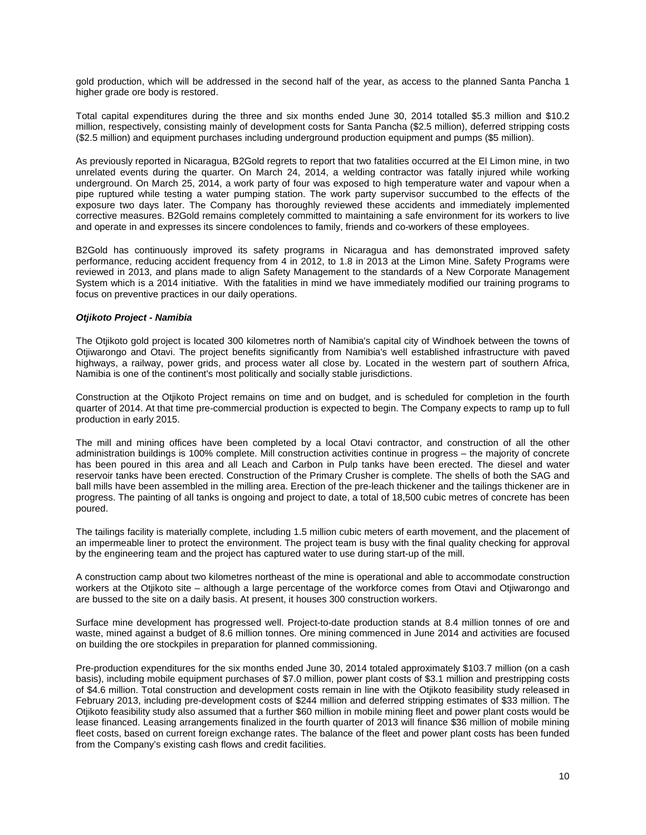gold production, which will be addressed in the second half of the year, as access to the planned Santa Pancha 1 higher grade ore body is restored.

Total capital expenditures during the three and six months ended June 30, 2014 totalled \$5.3 million and \$10.2 million, respectively, consisting mainly of development costs for Santa Pancha (\$2.5 million), deferred stripping costs (\$2.5 million) and equipment purchases including underground production equipment and pumps (\$5 million).

As previously reported in Nicaragua, B2Gold regrets to report that two fatalities occurred at the El Limon mine, in two unrelated events during the quarter. On March 24, 2014, a welding contractor was fatally injured while working underground. On March 25, 2014, a work party of four was exposed to high temperature water and vapour when a pipe ruptured while testing a water pumping station. The work party supervisor succumbed to the effects of the exposure two days later. The Company has thoroughly reviewed these accidents and immediately implemented corrective measures. B2Gold remains completely committed to maintaining a safe environment for its workers to live and operate in and expresses its sincere condolences to family, friends and co-workers of these employees.

B2Gold has continuously improved its safety programs in Nicaragua and has demonstrated improved safety performance, reducing accident frequency from 4 in 2012, to 1.8 in 2013 at the Limon Mine. Safety Programs were reviewed in 2013, and plans made to align Safety Management to the standards of a New Corporate Management System which is a 2014 initiative. With the fatalities in mind we have immediately modified our training programs to focus on preventive practices in our daily operations.

#### *Otjikoto Project - Namibia*

The Otjikoto gold project is located 300 kilometres north of Namibia's capital city of Windhoek between the towns of Otjiwarongo and Otavi. The project benefits significantly from Namibia's well established infrastructure with paved highways, a railway, power grids, and process water all close by. Located in the western part of southern Africa, Namibia is one of the continent's most politically and socially stable jurisdictions.

Construction at the Otjikoto Project remains on time and on budget, and is scheduled for completion in the fourth quarter of 2014. At that time pre-commercial production is expected to begin. The Company expects to ramp up to full production in early 2015.

The mill and mining offices have been completed by a local Otavi contractor, and construction of all the other administration buildings is 100% complete. Mill construction activities continue in progress – the majority of concrete has been poured in this area and all Leach and Carbon in Pulp tanks have been erected. The diesel and water reservoir tanks have been erected. Construction of the Primary Crusher is complete. The shells of both the SAG and ball mills have been assembled in the milling area. Erection of the pre-leach thickener and the tailings thickener are in progress. The painting of all tanks is ongoing and project to date, a total of 18,500 cubic metres of concrete has been poured.

The tailings facility is materially complete, including 1.5 million cubic meters of earth movement, and the placement of an impermeable liner to protect the environment. The project team is busy with the final quality checking for approval by the engineering team and the project has captured water to use during start-up of the mill.

A construction camp about two kilometres northeast of the mine is operational and able to accommodate construction workers at the Otjikoto site – although a large percentage of the workforce comes from Otavi and Otjiwarongo and are bussed to the site on a daily basis. At present, it houses 300 construction workers.

Surface mine development has progressed well. Project-to-date production stands at 8.4 million tonnes of ore and waste, mined against a budget of 8.6 million tonnes. Ore mining commenced in June 2014 and activities are focused on building the ore stockpiles in preparation for planned commissioning.

Pre-production expenditures for the six months ended June 30, 2014 totaled approximately \$103.7 million (on a cash basis), including mobile equipment purchases of \$7.0 million, power plant costs of \$3.1 million and prestripping costs of \$4.6 million. Total construction and development costs remain in line with the Otjikoto feasibility study released in February 2013, including pre-development costs of \$244 million and deferred stripping estimates of \$33 million. The Otjikoto feasibility study also assumed that a further \$60 million in mobile mining fleet and power plant costs would be lease financed. Leasing arrangements finalized in the fourth quarter of 2013 will finance \$36 million of mobile mining fleet costs, based on current foreign exchange rates. The balance of the fleet and power plant costs has been funded from the Company's existing cash flows and credit facilities.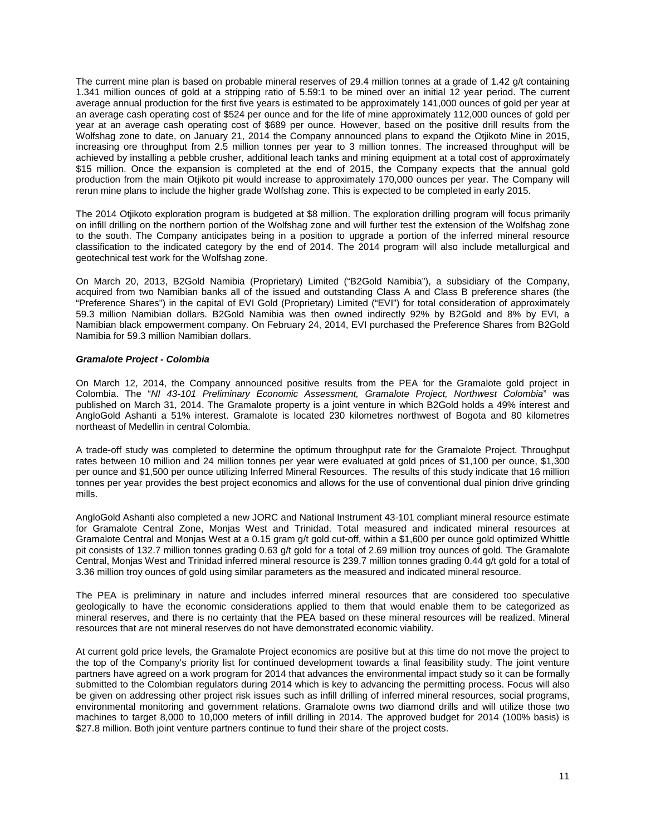The current mine plan is based on probable mineral reserves of 29.4 million tonnes at a grade of 1.42 g/t containing 1.341 million ounces of gold at a stripping ratio of 5.59:1 to be mined over an initial 12 year period. The current average annual production for the first five years is estimated to be approximately 141,000 ounces of gold per year at an average cash operating cost of \$524 per ounce and for the life of mine approximately 112,000 ounces of gold per year at an average cash operating cost of \$689 per ounce. However, based on the positive drill results from the Wolfshag zone to date, on January 21, 2014 the Company announced plans to expand the Otjikoto Mine in 2015, increasing ore throughput from 2.5 million tonnes per year to 3 million tonnes. The increased throughput will be achieved by installing a pebble crusher, additional leach tanks and mining equipment at a total cost of approximately \$15 million. Once the expansion is completed at the end of 2015, the Company expects that the annual gold production from the main Otjikoto pit would increase to approximately 170,000 ounces per year. The Company will rerun mine plans to include the higher grade Wolfshag zone. This is expected to be completed in early 2015.

The 2014 Otjikoto exploration program is budgeted at \$8 million. The exploration drilling program will focus primarily on infill drilling on the northern portion of the Wolfshag zone and will further test the extension of the Wolfshag zone to the south. The Company anticipates being in a position to upgrade a portion of the inferred mineral resource classification to the indicated category by the end of 2014. The 2014 program will also include metallurgical and geotechnical test work for the Wolfshag zone.

On March 20, 2013, B2Gold Namibia (Proprietary) Limited ("B2Gold Namibia"), a subsidiary of the Company, acquired from two Namibian banks all of the issued and outstanding Class A and Class B preference shares (the "Preference Shares") in the capital of EVI Gold (Proprietary) Limited ("EVI") for total consideration of approximately 59.3 million Namibian dollars. B2Gold Namibia was then owned indirectly 92% by B2Gold and 8% by EVI, a Namibian black empowerment company. On February 24, 2014, EVI purchased the Preference Shares from B2Gold Namibia for 59.3 million Namibian dollars.

# *Gramalote Project - Colombia*

On March 12, 2014, the Company announced positive results from the PEA for the Gramalote gold project in Colombia. The "*NI 43-101 Preliminary Economic Assessment, Gramalote Project, Northwest Colombia*" was published on March 31, 2014. The Gramalote property is a joint venture in which B2Gold holds a 49% interest and AngloGold Ashanti a 51% interest. Gramalote is located 230 kilometres northwest of Bogota and 80 kilometres northeast of Medellin in central Colombia.

A trade-off study was completed to determine the optimum throughput rate for the Gramalote Project. Throughput rates between 10 million and 24 million tonnes per year were evaluated at gold prices of \$1,100 per ounce, \$1,300 per ounce and \$1,500 per ounce utilizing Inferred Mineral Resources. The results of this study indicate that 16 million tonnes per year provides the best project economics and allows for the use of conventional dual pinion drive grinding mills.

AngloGold Ashanti also completed a new JORC and National Instrument 43-101 compliant mineral resource estimate for Gramalote Central Zone, Monjas West and Trinidad. Total measured and indicated mineral resources at Gramalote Central and Monjas West at a 0.15 gram g/t gold cut-off, within a \$1,600 per ounce gold optimized Whittle pit consists of 132.7 million tonnes grading 0.63 g/t gold for a total of 2.69 million troy ounces of gold. The Gramalote Central, Monjas West and Trinidad inferred mineral resource is 239.7 million tonnes grading 0.44 g/t gold for a total of 3.36 million troy ounces of gold using similar parameters as the measured and indicated mineral resource.

The PEA is preliminary in nature and includes inferred mineral resources that are considered too speculative geologically to have the economic considerations applied to them that would enable them to be categorized as mineral reserves, and there is no certainty that the PEA based on these mineral resources will be realized. Mineral resources that are not mineral reserves do not have demonstrated economic viability.

At current gold price levels, the Gramalote Project economics are positive but at this time do not move the project to the top of the Company's priority list for continued development towards a final feasibility study. The joint venture partners have agreed on a work program for 2014 that advances the environmental impact study so it can be formally submitted to the Colombian regulators during 2014 which is key to advancing the permitting process. Focus will also be given on addressing other project risk issues such as infill drilling of inferred mineral resources, social programs, environmental monitoring and government relations. Gramalote owns two diamond drills and will utilize those two machines to target 8,000 to 10,000 meters of infill drilling in 2014. The approved budget for 2014 (100% basis) is \$27.8 million. Both joint venture partners continue to fund their share of the project costs.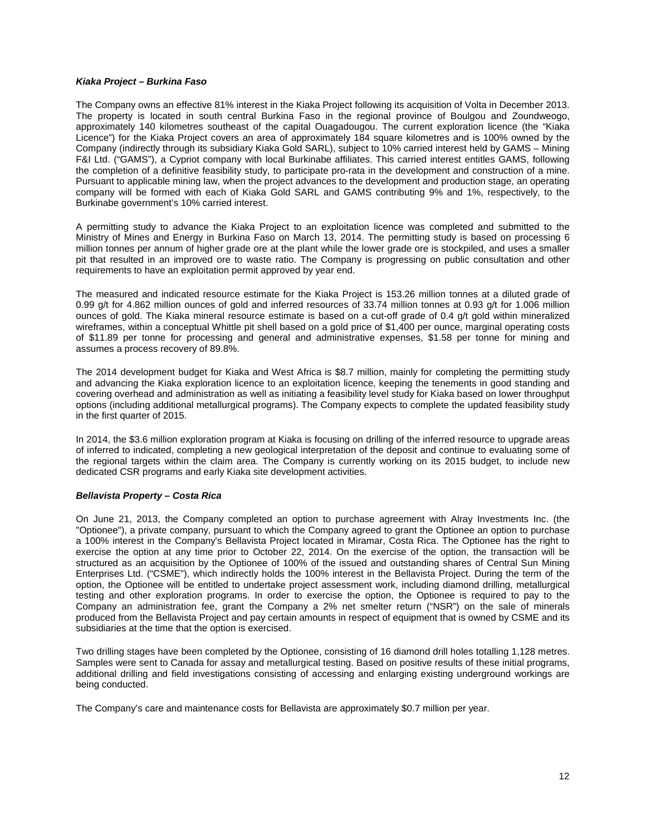#### *Kiaka Project – Burkina Faso*

The Company owns an effective 81% interest in the Kiaka Project following its acquisition of Volta in December 2013. The property is located in south central Burkina Faso in the regional province of Boulgou and Zoundweogo, approximately 140 kilometres southeast of the capital Ouagadougou. The current exploration licence (the "Kiaka Licence") for the Kiaka Project covers an area of approximately 184 square kilometres and is 100% owned by the Company (indirectly through its subsidiary Kiaka Gold SARL), subject to 10% carried interest held by GAMS – Mining F&I Ltd. ("GAMS"), a Cypriot company with local Burkinabe affiliates. This carried interest entitles GAMS, following the completion of a definitive feasibility study, to participate pro-rata in the development and construction of a mine. Pursuant to applicable mining law, when the project advances to the development and production stage, an operating company will be formed with each of Kiaka Gold SARL and GAMS contributing 9% and 1%, respectively, to the Burkinabe government's 10% carried interest.

A permitting study to advance the Kiaka Project to an exploitation licence was completed and submitted to the Ministry of Mines and Energy in Burkina Faso on March 13, 2014. The permitting study is based on processing 6 million tonnes per annum of higher grade ore at the plant while the lower grade ore is stockpiled, and uses a smaller pit that resulted in an improved ore to waste ratio. The Company is progressing on public consultation and other requirements to have an exploitation permit approved by year end.

The measured and indicated resource estimate for the Kiaka Project is 153.26 million tonnes at a diluted grade of 0.99 g/t for 4.862 million ounces of gold and inferred resources of 33.74 million tonnes at 0.93 g/t for 1.006 million ounces of gold. The Kiaka mineral resource estimate is based on a cut-off grade of 0.4 g/t gold within mineralized wireframes, within a conceptual Whittle pit shell based on a gold price of \$1,400 per ounce, marginal operating costs of \$11.89 per tonne for processing and general and administrative expenses, \$1.58 per tonne for mining and assumes a process recovery of 89.8%.

The 2014 development budget for Kiaka and West Africa is \$8.7 million, mainly for completing the permitting study and advancing the Kiaka exploration licence to an exploitation licence, keeping the tenements in good standing and covering overhead and administration as well as initiating a feasibility level study for Kiaka based on lower throughput options (including additional metallurgical programs). The Company expects to complete the updated feasibility study in the first quarter of 2015.

In 2014, the \$3.6 million exploration program at Kiaka is focusing on drilling of the inferred resource to upgrade areas of inferred to indicated, completing a new geological interpretation of the deposit and continue to evaluating some of the regional targets within the claim area. The Company is currently working on its 2015 budget, to include new dedicated CSR programs and early Kiaka site development activities.

# *Bellavista Property – Costa Rica*

On June 21, 2013, the Company completed an option to purchase agreement with Alray Investments Inc. (the "Optionee"), a private company, pursuant to which the Company agreed to grant the Optionee an option to purchase a 100% interest in the Company's Bellavista Project located in Miramar, Costa Rica. The Optionee has the right to exercise the option at any time prior to October 22, 2014. On the exercise of the option, the transaction will be structured as an acquisition by the Optionee of 100% of the issued and outstanding shares of Central Sun Mining Enterprises Ltd. ("CSME"), which indirectly holds the 100% interest in the Bellavista Project. During the term of the option, the Optionee will be entitled to undertake project assessment work, including diamond drilling, metallurgical testing and other exploration programs. In order to exercise the option, the Optionee is required to pay to the Company an administration fee, grant the Company a 2% net smelter return ("NSR") on the sale of minerals produced from the Bellavista Project and pay certain amounts in respect of equipment that is owned by CSME and its subsidiaries at the time that the option is exercised.

Two drilling stages have been completed by the Optionee, consisting of 16 diamond drill holes totalling 1,128 metres. Samples were sent to Canada for assay and metallurgical testing. Based on positive results of these initial programs, additional drilling and field investigations consisting of accessing and enlarging existing underground workings are being conducted.

The Company's care and maintenance costs for Bellavista are approximately \$0.7 million per year.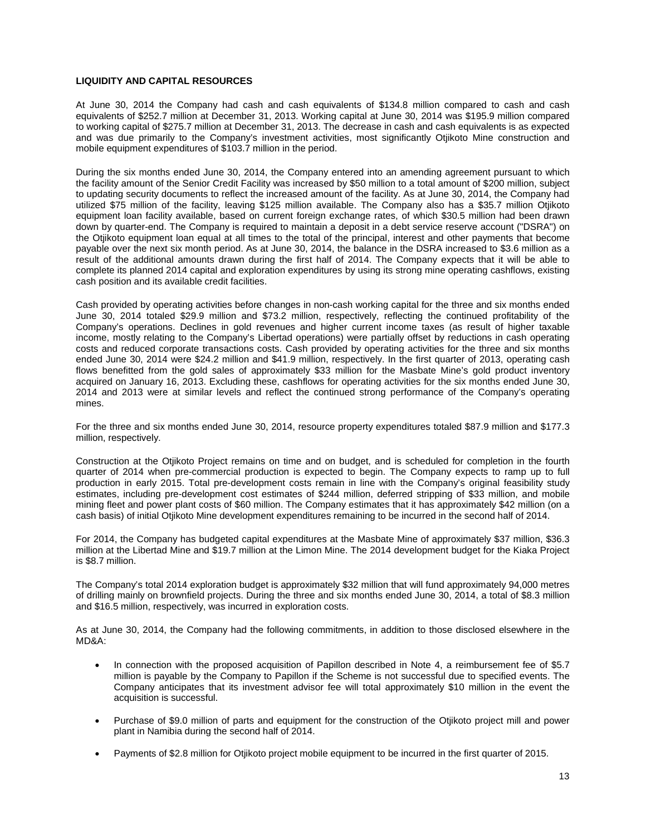# **LIQUIDITY AND CAPITAL RESOURCES**

At June 30, 2014 the Company had cash and cash equivalents of \$134.8 million compared to cash and cash equivalents of \$252.7 million at December 31, 2013. Working capital at June 30, 2014 was \$195.9 million compared to working capital of \$275.7 million at December 31, 2013. The decrease in cash and cash equivalents is as expected and was due primarily to the Company's investment activities, most significantly Otjikoto Mine construction and mobile equipment expenditures of \$103.7 million in the period.

During the six months ended June 30, 2014, the Company entered into an amending agreement pursuant to which the facility amount of the Senior Credit Facility was increased by \$50 million to a total amount of \$200 million, subject to updating security documents to reflect the increased amount of the facility. As at June 30, 2014, the Company had utilized \$75 million of the facility, leaving \$125 million available. The Company also has a \$35.7 million Otjikoto equipment loan facility available, based on current foreign exchange rates, of which \$30.5 million had been drawn down by quarter-end. The Company is required to maintain a deposit in a debt service reserve account ("DSRA") on the Otjikoto equipment loan equal at all times to the total of the principal, interest and other payments that become payable over the next six month period. As at June 30, 2014, the balance in the DSRA increased to \$3.6 million as a result of the additional amounts drawn during the first half of 2014. The Company expects that it will be able to complete its planned 2014 capital and exploration expenditures by using its strong mine operating cashflows, existing cash position and its available credit facilities.

Cash provided by operating activities before changes in non-cash working capital for the three and six months ended June 30, 2014 totaled \$29.9 million and \$73.2 million, respectively, reflecting the continued profitability of the Company's operations. Declines in gold revenues and higher current income taxes (as result of higher taxable income, mostly relating to the Company's Libertad operations) were partially offset by reductions in cash operating costs and reduced corporate transactions costs. Cash provided by operating activities for the three and six months ended June 30, 2014 were \$24.2 million and \$41.9 million, respectively. In the first quarter of 2013, operating cash flows benefitted from the gold sales of approximately \$33 million for the Masbate Mine's gold product inventory acquired on January 16, 2013. Excluding these, cashflows for operating activities for the six months ended June 30, 2014 and 2013 were at similar levels and reflect the continued strong performance of the Company's operating mines.

For the three and six months ended June 30, 2014, resource property expenditures totaled \$87.9 million and \$177.3 million, respectively.

Construction at the Otjikoto Project remains on time and on budget, and is scheduled for completion in the fourth quarter of 2014 when pre-commercial production is expected to begin. The Company expects to ramp up to full production in early 2015. Total pre-development costs remain in line with the Company's original feasibility study estimates, including pre-development cost estimates of \$244 million, deferred stripping of \$33 million, and mobile mining fleet and power plant costs of \$60 million. The Company estimates that it has approximately \$42 million (on a cash basis) of initial Otjikoto Mine development expenditures remaining to be incurred in the second half of 2014.

For 2014, the Company has budgeted capital expenditures at the Masbate Mine of approximately \$37 million, \$36.3 million at the Libertad Mine and \$19.7 million at the Limon Mine. The 2014 development budget for the Kiaka Project is \$8.7 million.

The Company's total 2014 exploration budget is approximately \$32 million that will fund approximately 94,000 metres of drilling mainly on brownfield projects. During the three and six months ended June 30, 2014, a total of \$8.3 million and \$16.5 million, respectively, was incurred in exploration costs.

As at June 30, 2014, the Company had the following commitments, in addition to those disclosed elsewhere in the MD&A:

- In connection with the proposed acquisition of Papillon described in Note 4, a reimbursement fee of \$5.7 million is payable by the Company to Papillon if the Scheme is not successful due to specified events. The Company anticipates that its investment advisor fee will total approximately \$10 million in the event the acquisition is successful.
- Purchase of \$9.0 million of parts and equipment for the construction of the Otjikoto project mill and power plant in Namibia during the second half of 2014.
- Payments of \$2.8 million for Otjikoto project mobile equipment to be incurred in the first quarter of 2015.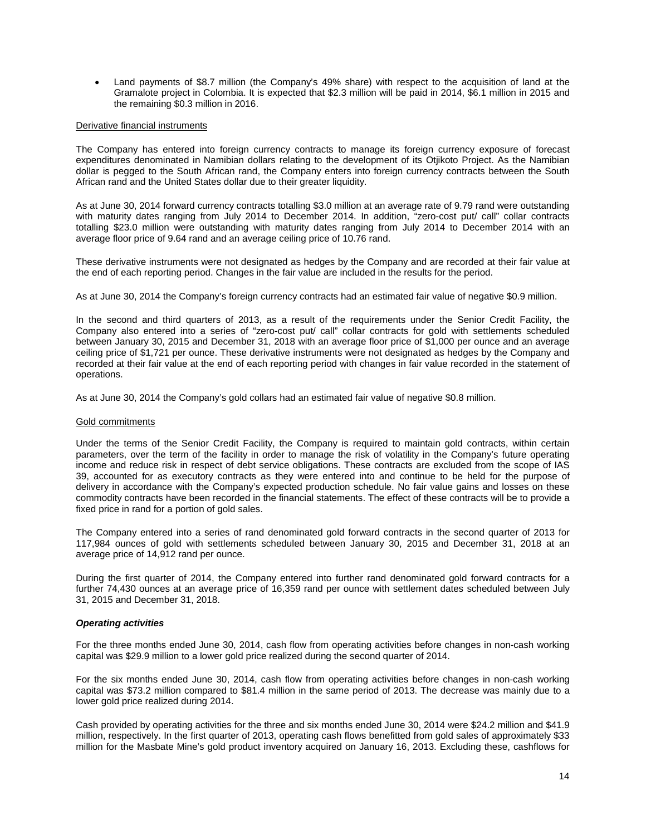• Land payments of \$8.7 million (the Company's 49% share) with respect to the acquisition of land at the Gramalote project in Colombia. It is expected that \$2.3 million will be paid in 2014, \$6.1 million in 2015 and the remaining \$0.3 million in 2016.

#### Derivative financial instruments

The Company has entered into foreign currency contracts to manage its foreign currency exposure of forecast expenditures denominated in Namibian dollars relating to the development of its Otjikoto Project. As the Namibian dollar is pegged to the South African rand, the Company enters into foreign currency contracts between the South African rand and the United States dollar due to their greater liquidity.

As at June 30, 2014 forward currency contracts totalling \$3.0 million at an average rate of 9.79 rand were outstanding with maturity dates ranging from July 2014 to December 2014. In addition, "zero-cost put/ call" collar contracts totalling \$23.0 million were outstanding with maturity dates ranging from July 2014 to December 2014 with an average floor price of 9.64 rand and an average ceiling price of 10.76 rand.

These derivative instruments were not designated as hedges by the Company and are recorded at their fair value at the end of each reporting period. Changes in the fair value are included in the results for the period.

As at June 30, 2014 the Company's foreign currency contracts had an estimated fair value of negative \$0.9 million.

In the second and third quarters of 2013, as a result of the requirements under the Senior Credit Facility, the Company also entered into a series of "zero-cost put/ call" collar contracts for gold with settlements scheduled between January 30, 2015 and December 31, 2018 with an average floor price of \$1,000 per ounce and an average ceiling price of \$1,721 per ounce. These derivative instruments were not designated as hedges by the Company and recorded at their fair value at the end of each reporting period with changes in fair value recorded in the statement of operations.

As at June 30, 2014 the Company's gold collars had an estimated fair value of negative \$0.8 million.

#### Gold commitments

Under the terms of the Senior Credit Facility, the Company is required to maintain gold contracts, within certain parameters, over the term of the facility in order to manage the risk of volatility in the Company's future operating income and reduce risk in respect of debt service obligations. These contracts are excluded from the scope of IAS 39, accounted for as executory contracts as they were entered into and continue to be held for the purpose of delivery in accordance with the Company's expected production schedule. No fair value gains and losses on these commodity contracts have been recorded in the financial statements. The effect of these contracts will be to provide a fixed price in rand for a portion of gold sales.

The Company entered into a series of rand denominated gold forward contracts in the second quarter of 2013 for 117,984 ounces of gold with settlements scheduled between January 30, 2015 and December 31, 2018 at an average price of 14,912 rand per ounce.

During the first quarter of 2014, the Company entered into further rand denominated gold forward contracts for a further 74,430 ounces at an average price of 16,359 rand per ounce with settlement dates scheduled between July 31, 2015 and December 31, 2018.

# *Operating activities*

For the three months ended June 30, 2014, cash flow from operating activities before changes in non-cash working capital was \$29.9 million to a lower gold price realized during the second quarter of 2014.

For the six months ended June 30, 2014, cash flow from operating activities before changes in non-cash working capital was \$73.2 million compared to \$81.4 million in the same period of 2013. The decrease was mainly due to a lower gold price realized during 2014.

Cash provided by operating activities for the three and six months ended June 30, 2014 were \$24.2 million and \$41.9 million, respectively. In the first quarter of 2013, operating cash flows benefitted from gold sales of approximately \$33 million for the Masbate Mine's gold product inventory acquired on January 16, 2013. Excluding these, cashflows for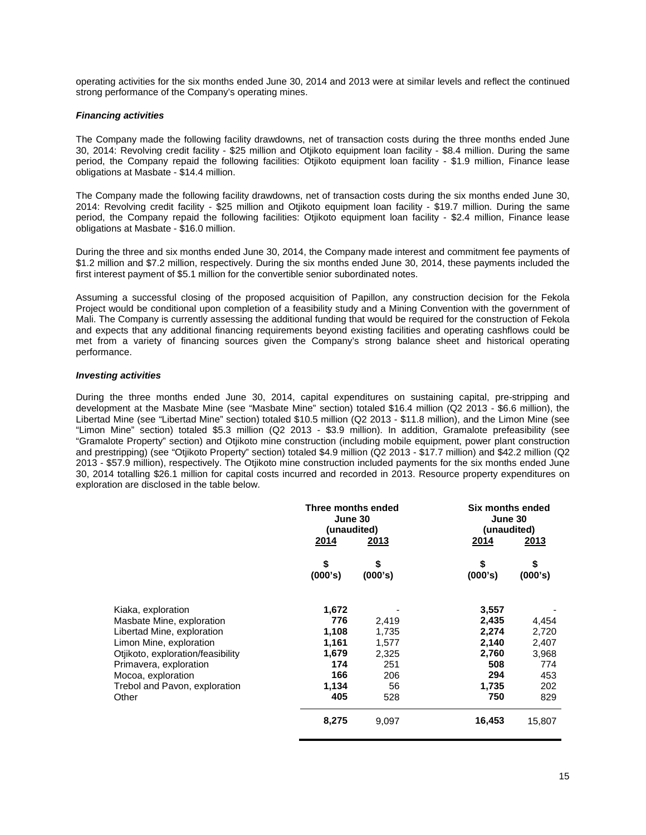operating activities for the six months ended June 30, 2014 and 2013 were at similar levels and reflect the continued strong performance of the Company's operating mines.

### *Financing activities*

The Company made the following facility drawdowns, net of transaction costs during the three months ended June 30, 2014: Revolving credit facility - \$25 million and Otjikoto equipment loan facility - \$8.4 million. During the same period, the Company repaid the following facilities: Otjikoto equipment loan facility - \$1.9 million, Finance lease obligations at Masbate - \$14.4 million.

The Company made the following facility drawdowns, net of transaction costs during the six months ended June 30, 2014: Revolving credit facility - \$25 million and Otjikoto equipment loan facility - \$19.7 million. During the same period, the Company repaid the following facilities: Otjikoto equipment loan facility - \$2.4 million, Finance lease obligations at Masbate - \$16.0 million.

During the three and six months ended June 30, 2014, the Company made interest and commitment fee payments of \$1.2 million and \$7.2 million, respectively. During the six months ended June 30, 2014, these payments included the first interest payment of \$5.1 million for the convertible senior subordinated notes.

Assuming a successful closing of the proposed acquisition of Papillon, any construction decision for the Fekola Project would be conditional upon completion of a feasibility study and a Mining Convention with the government of Mali. The Company is currently assessing the additional funding that would be required for the construction of Fekola and expects that any additional financing requirements beyond existing facilities and operating cashflows could be met from a variety of financing sources given the Company's strong balance sheet and historical operating performance.

#### *Investing activities*

During the three months ended June 30, 2014, capital expenditures on sustaining capital, pre-stripping and development at the Masbate Mine (see "Masbate Mine" section) totaled \$16.4 million (Q2 2013 - \$6.6 million), the Libertad Mine (see "Libertad Mine" section) totaled \$10.5 million (Q2 2013 - \$11.8 million), and the Limon Mine (see "Limon Mine" section) totaled \$5.3 million (Q2 2013 - \$3.9 million). In addition, Gramalote prefeasibility (see "Gramalote Property" section) and Otjikoto mine construction (including mobile equipment, power plant construction and prestripping) (see "Otjikoto Property" section) totaled \$4.9 million (Q2 2013 - \$17.7 million) and \$42.2 million (Q2 2013 - \$57.9 million), respectively. The Otjikoto mine construction included payments for the six months ended June 30, 2014 totalling \$26.1 million for capital costs incurred and recorded in 2013. Resource property expenditures on exploration are disclosed in the table below.

|                                                 | Three months ended<br>June 30<br>(unaudited) |               | Six months ended<br>June 30<br>(unaudited) |               |  |
|-------------------------------------------------|----------------------------------------------|---------------|--------------------------------------------|---------------|--|
|                                                 | 2014                                         | <u>2013</u>   | 2014                                       | <u>2013</u>   |  |
|                                                 | \$<br>(000's)                                | \$<br>(000's) | \$<br>(000's)                              | \$<br>(000's) |  |
| Kiaka, exploration<br>Masbate Mine, exploration | 1,672<br>776                                 | 2,419         | 3,557<br>2,435                             | 4,454         |  |
| Libertad Mine, exploration                      | 1,108                                        | 1,735         | 2,274                                      | 2,720         |  |
| Limon Mine, exploration                         | 1,161                                        | 1,577         | 2,140                                      | 2,407         |  |
| Otjikoto, exploration/feasibility               | 1,679                                        | 2,325         | 2,760                                      | 3,968         |  |
| Primavera, exploration                          | 174                                          | 251           | 508                                        | 774           |  |
| Mocoa, exploration                              | 166                                          | 206           | 294                                        | 453           |  |
| Trebol and Pavon, exploration                   | 1,134                                        | 56            | 1,735                                      | 202           |  |
| Other                                           | 405                                          | 528           | 750                                        | 829           |  |
|                                                 | 8,275                                        | 9,097         | 16,453                                     | 15,807        |  |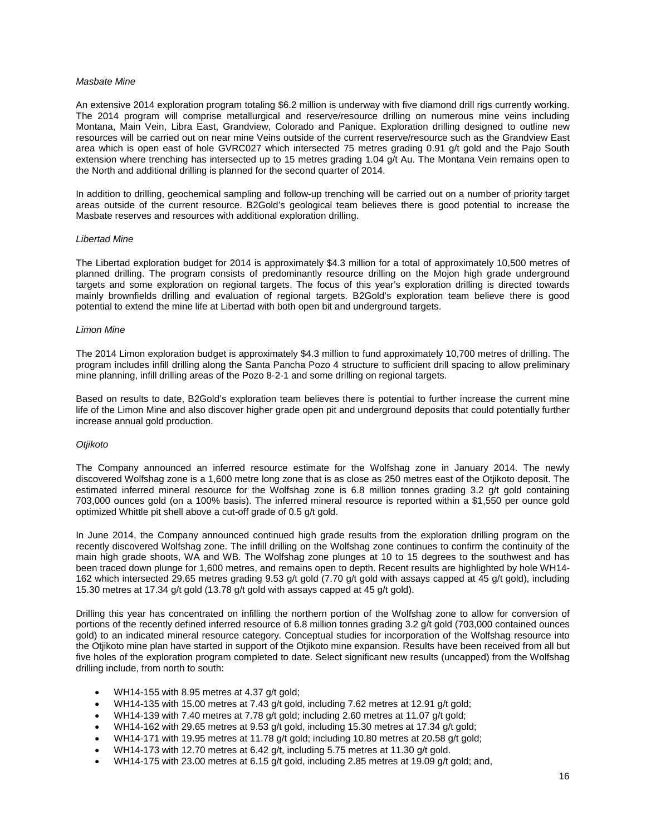#### *Masbate Mine*

An extensive 2014 exploration program totaling \$6.2 million is underway with five diamond drill rigs currently working. The 2014 program will comprise metallurgical and reserve/resource drilling on numerous mine veins including Montana, Main Vein, Libra East, Grandview, Colorado and Panique. Exploration drilling designed to outline new resources will be carried out on near mine Veins outside of the current reserve/resource such as the Grandview East area which is open east of hole GVRC027 which intersected 75 metres grading 0.91 g/t gold and the Pajo South extension where trenching has intersected up to 15 metres grading 1.04 g/t Au. The Montana Vein remains open to the North and additional drilling is planned for the second quarter of 2014.

In addition to drilling, geochemical sampling and follow-up trenching will be carried out on a number of priority target areas outside of the current resource. B2Gold's geological team believes there is good potential to increase the Masbate reserves and resources with additional exploration drilling.

#### *Libertad Mine*

The Libertad exploration budget for 2014 is approximately \$4.3 million for a total of approximately 10,500 metres of planned drilling. The program consists of predominantly resource drilling on the Mojon high grade underground targets and some exploration on regional targets. The focus of this year's exploration drilling is directed towards mainly brownfields drilling and evaluation of regional targets. B2Gold's exploration team believe there is good potential to extend the mine life at Libertad with both open bit and underground targets.

#### *Limon Mine*

The 2014 Limon exploration budget is approximately \$4.3 million to fund approximately 10,700 metres of drilling. The program includes infill drilling along the Santa Pancha Pozo 4 structure to sufficient drill spacing to allow preliminary mine planning, infill drilling areas of the Pozo 8-2-1 and some drilling on regional targets.

Based on results to date, B2Gold's exploration team believes there is potential to further increase the current mine life of the Limon Mine and also discover higher grade open pit and underground deposits that could potentially further increase annual gold production.

#### *Otjikoto*

The Company announced an inferred resource estimate for the Wolfshag zone in January 2014. The newly discovered Wolfshag zone is a 1,600 metre long zone that is as close as 250 metres east of the Otjikoto deposit. The estimated inferred mineral resource for the Wolfshag zone is 6.8 million tonnes grading 3.2 g/t gold containing 703,000 ounces gold (on a 100% basis). The inferred mineral resource is reported within a \$1,550 per ounce gold optimized Whittle pit shell above a cut-off grade of 0.5 g/t gold.

In June 2014, the Company announced continued high grade results from the exploration drilling program on the recently discovered Wolfshag zone. The infill drilling on the Wolfshag zone continues to confirm the continuity of the main high grade shoots, WA and WB. The Wolfshag zone plunges at 10 to 15 degrees to the southwest and has been traced down plunge for 1,600 metres, and remains open to depth. Recent results are highlighted by hole WH14- 162 which intersected 29.65 metres grading 9.53 g/t gold (7.70 g/t gold with assays capped at 45 g/t gold), including 15.30 metres at 17.34 g/t gold (13.78 g/t gold with assays capped at 45 g/t gold).

Drilling this year has concentrated on infilling the northern portion of the Wolfshag zone to allow for conversion of portions of the recently defined inferred resource of 6.8 million tonnes grading 3.2 g/t gold (703,000 contained ounces gold) to an indicated mineral resource category. Conceptual studies for incorporation of the Wolfshag resource into the Otjikoto mine plan have started in support of the Otjikoto mine expansion. Results have been received from all but five holes of the exploration program completed to date. Select significant new results (uncapped) from the Wolfshag drilling include, from north to south:

- WH14-155 with 8.95 metres at 4.37 g/t gold;
- WH14-135 with 15.00 metres at 7.43 g/t gold, including 7.62 metres at 12.91 g/t gold;
- WH14-139 with 7.40 metres at 7.78 g/t gold; including 2.60 metres at 11.07 g/t gold;
- WH14-162 with 29.65 metres at 9.53 g/t gold, including 15.30 metres at 17.34 g/t gold;
- WH14-171 with 19.95 metres at 11.78 g/t gold; including 10.80 metres at 20.58 g/t gold;
- WH14-173 with 12.70 metres at 6.42 g/t, including 5.75 metres at 11.30 g/t gold.
- WH14-175 with 23.00 metres at 6.15 g/t gold, including 2.85 metres at 19.09 g/t gold; and,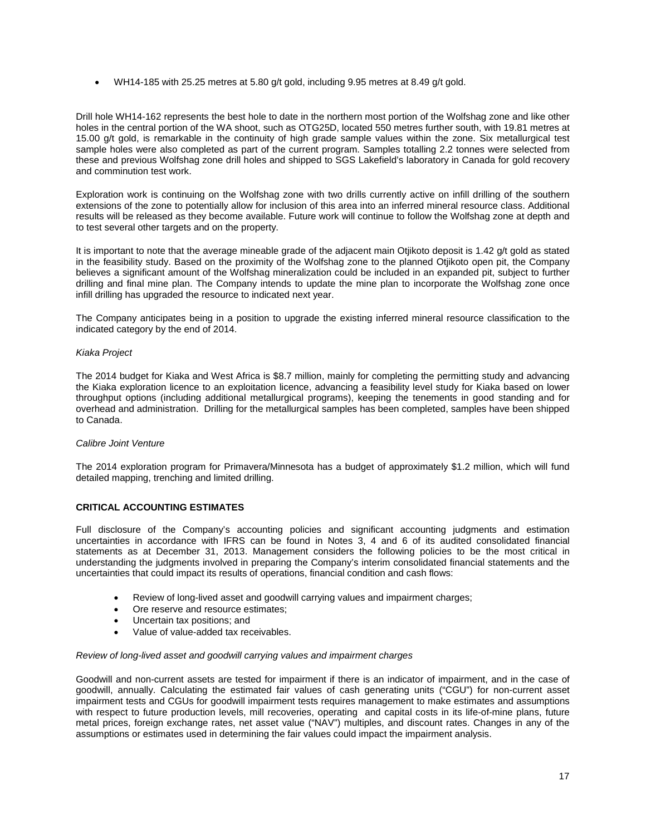• WH14-185 with 25.25 metres at 5.80 g/t gold, including 9.95 metres at 8.49 g/t gold.

Drill hole WH14-162 represents the best hole to date in the northern most portion of the Wolfshag zone and like other holes in the central portion of the WA shoot, such as OTG25D, located 550 metres further south, with 19.81 metres at 15.00 g/t gold, is remarkable in the continuity of high grade sample values within the zone. Six metallurgical test sample holes were also completed as part of the current program. Samples totalling 2.2 tonnes were selected from these and previous Wolfshag zone drill holes and shipped to SGS Lakefield's laboratory in Canada for gold recovery and comminution test work.

Exploration work is continuing on the Wolfshag zone with two drills currently active on infill drilling of the southern extensions of the zone to potentially allow for inclusion of this area into an inferred mineral resource class. Additional results will be released as they become available. Future work will continue to follow the Wolfshag zone at depth and to test several other targets and on the property.

It is important to note that the average mineable grade of the adjacent main Otjikoto deposit is 1.42 g/t gold as stated in the feasibility study. Based on the proximity of the Wolfshag zone to the planned Otjikoto open pit, the Company believes a significant amount of the Wolfshag mineralization could be included in an expanded pit, subject to further drilling and final mine plan. The Company intends to update the mine plan to incorporate the Wolfshag zone once infill drilling has upgraded the resource to indicated next year.

The Company anticipates being in a position to upgrade the existing inferred mineral resource classification to the indicated category by the end of 2014.

# *Kiaka Project*

The 2014 budget for Kiaka and West Africa is \$8.7 million, mainly for completing the permitting study and advancing the Kiaka exploration licence to an exploitation licence, advancing a feasibility level study for Kiaka based on lower throughput options (including additional metallurgical programs), keeping the tenements in good standing and for overhead and administration. Drilling for the metallurgical samples has been completed, samples have been shipped to Canada.

# *Calibre Joint Venture*

The 2014 exploration program for Primavera/Minnesota has a budget of approximately \$1.2 million, which will fund detailed mapping, trenching and limited drilling.

# **CRITICAL ACCOUNTING ESTIMATES**

Full disclosure of the Company's accounting policies and significant accounting judgments and estimation uncertainties in accordance with IFRS can be found in Notes 3, 4 and 6 of its audited consolidated financial statements as at December 31, 2013. Management considers the following policies to be the most critical in understanding the judgments involved in preparing the Company's interim consolidated financial statements and the uncertainties that could impact its results of operations, financial condition and cash flows:

- Review of long-lived asset and goodwill carrying values and impairment charges;
- Ore reserve and resource estimates;
- Uncertain tax positions; and
- Value of value-added tax receivables.

# *Review of long-lived asset and goodwill carrying values and impairment charges*

Goodwill and non-current assets are tested for impairment if there is an indicator of impairment, and in the case of goodwill, annually. Calculating the estimated fair values of cash generating units ("CGU") for non-current asset impairment tests and CGUs for goodwill impairment tests requires management to make estimates and assumptions with respect to future production levels, mill recoveries, operating and capital costs in its life-of-mine plans, future metal prices, foreign exchange rates, net asset value ("NAV") multiples, and discount rates. Changes in any of the assumptions or estimates used in determining the fair values could impact the impairment analysis.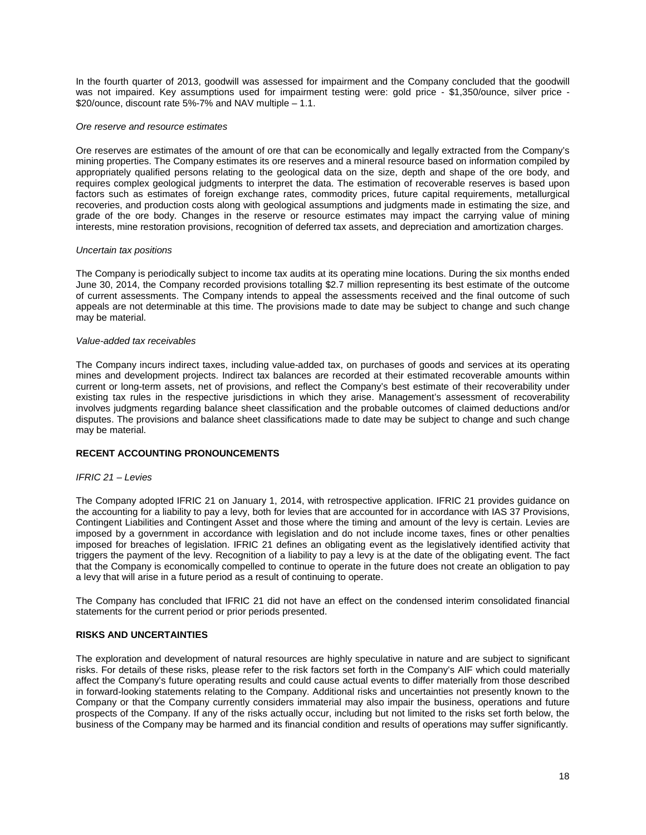In the fourth quarter of 2013, goodwill was assessed for impairment and the Company concluded that the goodwill was not impaired. Key assumptions used for impairment testing were: gold price - \$1,350/ounce, silver price -\$20/ounce, discount rate 5%-7% and NAV multiple – 1.1.

#### *Ore reserve and resource estimates*

Ore reserves are estimates of the amount of ore that can be economically and legally extracted from the Company's mining properties. The Company estimates its ore reserves and a mineral resource based on information compiled by appropriately qualified persons relating to the geological data on the size, depth and shape of the ore body, and requires complex geological judgments to interpret the data. The estimation of recoverable reserves is based upon factors such as estimates of foreign exchange rates, commodity prices, future capital requirements, metallurgical recoveries, and production costs along with geological assumptions and judgments made in estimating the size, and grade of the ore body. Changes in the reserve or resource estimates may impact the carrying value of mining interests, mine restoration provisions, recognition of deferred tax assets, and depreciation and amortization charges.

#### *Uncertain tax positions*

The Company is periodically subject to income tax audits at its operating mine locations. During the six months ended June 30, 2014, the Company recorded provisions totalling \$2.7 million representing its best estimate of the outcome of current assessments. The Company intends to appeal the assessments received and the final outcome of such appeals are not determinable at this time. The provisions made to date may be subject to change and such change may be material.

#### *Value-added tax receivables*

The Company incurs indirect taxes, including value-added tax, on purchases of goods and services at its operating mines and development projects. Indirect tax balances are recorded at their estimated recoverable amounts within current or long-term assets, net of provisions, and reflect the Company's best estimate of their recoverability under existing tax rules in the respective jurisdictions in which they arise. Management's assessment of recoverability involves judgments regarding balance sheet classification and the probable outcomes of claimed deductions and/or disputes. The provisions and balance sheet classifications made to date may be subject to change and such change may be material.

# **RECENT ACCOUNTING PRONOUNCEMENTS**

#### *IFRIC 21 – Levies*

The Company adopted IFRIC 21 on January 1, 2014, with retrospective application. IFRIC 21 provides guidance on the accounting for a liability to pay a levy, both for levies that are accounted for in accordance with IAS 37 Provisions, Contingent Liabilities and Contingent Asset and those where the timing and amount of the levy is certain. Levies are imposed by a government in accordance with legislation and do not include income taxes, fines or other penalties imposed for breaches of legislation. IFRIC 21 defines an obligating event as the legislatively identified activity that triggers the payment of the levy. Recognition of a liability to pay a levy is at the date of the obligating event. The fact that the Company is economically compelled to continue to operate in the future does not create an obligation to pay a levy that will arise in a future period as a result of continuing to operate.

The Company has concluded that IFRIC 21 did not have an effect on the condensed interim consolidated financial statements for the current period or prior periods presented.

#### **RISKS AND UNCERTAINTIES**

The exploration and development of natural resources are highly speculative in nature and are subject to significant risks. For details of these risks, please refer to the risk factors set forth in the Company's AIF which could materially affect the Company's future operating results and could cause actual events to differ materially from those described in forward-looking statements relating to the Company. Additional risks and uncertainties not presently known to the Company or that the Company currently considers immaterial may also impair the business, operations and future prospects of the Company. If any of the risks actually occur, including but not limited to the risks set forth below, the business of the Company may be harmed and its financial condition and results of operations may suffer significantly.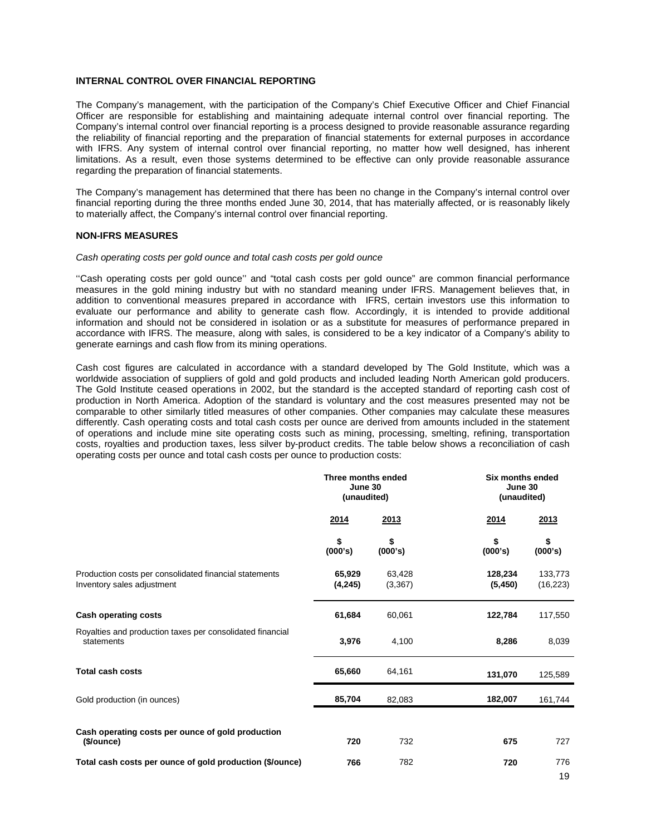### **INTERNAL CONTROL OVER FINANCIAL REPORTING**

The Company's management, with the participation of the Company's Chief Executive Officer and Chief Financial Officer are responsible for establishing and maintaining adequate internal control over financial reporting. The Company's internal control over financial reporting is a process designed to provide reasonable assurance regarding the reliability of financial reporting and the preparation of financial statements for external purposes in accordance with IFRS. Any system of internal control over financial reporting, no matter how well designed, has inherent limitations. As a result, even those systems determined to be effective can only provide reasonable assurance regarding the preparation of financial statements.

The Company's management has determined that there has been no change in the Company's internal control over financial reporting during the three months ended June 30, 2014, that has materially affected, or is reasonably likely to materially affect, the Company's internal control over financial reporting.

#### **NON-IFRS MEASURES**

#### *Cash operating costs per gold ounce and total cash costs per gold ounce*

''Cash operating costs per gold ounce'' and "total cash costs per gold ounce" are common financial performance measures in the gold mining industry but with no standard meaning under IFRS. Management believes that, in addition to conventional measures prepared in accordance with IFRS, certain investors use this information to evaluate our performance and ability to generate cash flow. Accordingly, it is intended to provide additional information and should not be considered in isolation or as a substitute for measures of performance prepared in accordance with IFRS. The measure, along with sales, is considered to be a key indicator of a Company's ability to generate earnings and cash flow from its mining operations.

Cash cost figures are calculated in accordance with a standard developed by The Gold Institute, which was a worldwide association of suppliers of gold and gold products and included leading North American gold producers. The Gold Institute ceased operations in 2002, but the standard is the accepted standard of reporting cash cost of production in North America. Adoption of the standard is voluntary and the cost measures presented may not be comparable to other similarly titled measures of other companies. Other companies may calculate these measures differently. Cash operating costs and total cash costs per ounce are derived from amounts included in the statement of operations and include mine site operating costs such as mining, processing, smelting, refining, transportation costs, royalties and production taxes, less silver by-product credits. The table below shows a reconciliation of cash operating costs per ounce and total cash costs per ounce to production costs:

|                                                                                      | Three months ended<br>June 30<br>(unaudited) |                    | Six months ended<br>June 30<br>(unaudited) |                      |  |
|--------------------------------------------------------------------------------------|----------------------------------------------|--------------------|--------------------------------------------|----------------------|--|
|                                                                                      | 2014                                         | 2013               | 2014                                       | 2013                 |  |
|                                                                                      | \$<br>(000's)                                | S<br>(000's)       | \$<br>(000's)                              | \$<br>(000's)        |  |
| Production costs per consolidated financial statements<br>Inventory sales adjustment | 65,929<br>(4,245)                            | 63,428<br>(3, 367) | 128,234<br>(5, 450)                        | 133,773<br>(16, 223) |  |
| <b>Cash operating costs</b>                                                          | 61,684                                       | 60,061             | 122,784                                    | 117,550              |  |
| Royalties and production taxes per consolidated financial<br>statements              | 3,976                                        | 4,100              | 8,286                                      | 8,039                |  |
| <b>Total cash costs</b>                                                              | 65,660                                       | 64,161             | 131,070                                    | 125,589              |  |
| Gold production (in ounces)                                                          | 85,704                                       | 82,083             | 182,007                                    | 161,744              |  |
| Cash operating costs per ounce of gold production<br>(\$/ounce)                      | 720                                          | 732                | 675                                        | 727                  |  |
| Total cash costs per ounce of gold production (\$/ounce)                             | 766                                          | 782                | 720                                        | 776<br>19            |  |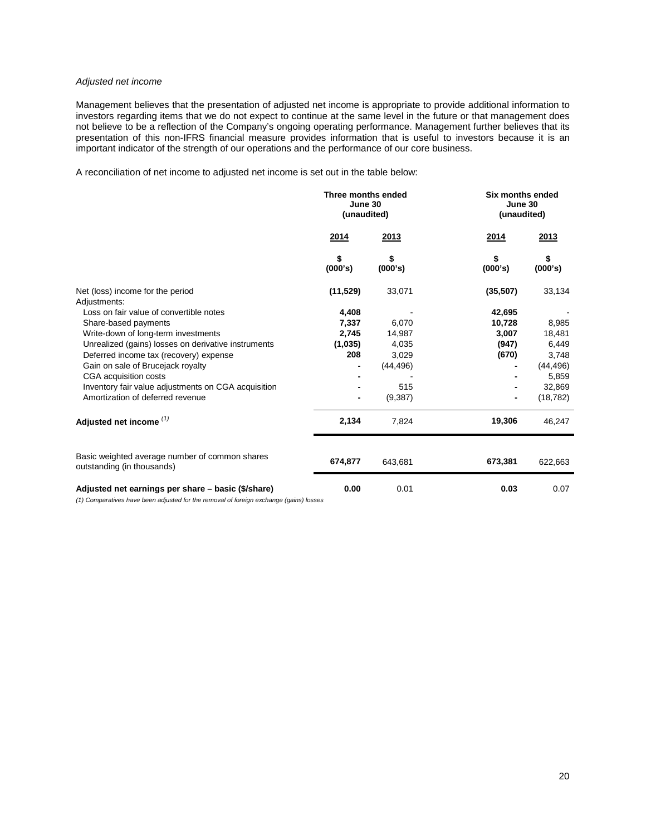# *Adjusted net income*

Management believes that the presentation of adjusted net income is appropriate to provide additional information to investors regarding items that we do not expect to continue at the same level in the future or that management does not believe to be a reflection of the Company's ongoing operating performance. Management further believes that its presentation of this non-IFRS financial measure provides information that is useful to investors because it is an important indicator of the strength of our operations and the performance of our core business.

A reconciliation of net income to adjusted net income is set out in the table below:

|                                                                                          | Three months ended<br>June 30<br>(unaudited) |               | <b>Six months ended</b><br>June 30<br>(unaudited) |               |  |
|------------------------------------------------------------------------------------------|----------------------------------------------|---------------|---------------------------------------------------|---------------|--|
|                                                                                          | 2014                                         | 2013          | 2014                                              | 2013          |  |
|                                                                                          | \$<br>(000's)                                | \$<br>(000's) | \$<br>(000's)                                     | \$<br>(000's) |  |
| Net (loss) income for the period                                                         | (11, 529)                                    | 33,071        | (35,507)                                          | 33,134        |  |
| Adjustments:                                                                             |                                              |               |                                                   |               |  |
| Loss on fair value of convertible notes                                                  | 4,408                                        |               | 42,695                                            |               |  |
| Share-based payments                                                                     | 7,337                                        | 6,070         | 10,728                                            | 8,985         |  |
| Write-down of long-term investments                                                      | 2,745                                        | 14,987        | 3,007                                             | 18,481        |  |
| Unrealized (gains) losses on derivative instruments                                      | (1,035)                                      | 4,035         | (947)                                             | 6,449         |  |
| Deferred income tax (recovery) expense                                                   | 208                                          | 3,029         | (670)                                             | 3,748         |  |
| Gain on sale of Brucejack royalty                                                        |                                              | (44, 496)     |                                                   | (44, 496)     |  |
| CGA acquisition costs                                                                    |                                              |               |                                                   | 5,859         |  |
| Inventory fair value adjustments on CGA acquisition                                      |                                              | 515           |                                                   | 32,869        |  |
| Amortization of deferred revenue                                                         |                                              | (9,387)       |                                                   | (18, 782)     |  |
| Adjusted net income <sup>(1)</sup>                                                       | 2,134                                        | 7,824         | 19,306                                            | 46,247        |  |
|                                                                                          |                                              |               |                                                   |               |  |
| Basic weighted average number of common shares<br>outstanding (in thousands)             | 674,877                                      | 643,681       | 673,381                                           | 622,663       |  |
| Adjusted net earnings per share - basic (\$/share)                                       | 0.00                                         | 0.01          | 0.03                                              | 0.07          |  |
| (4) Comparatives have been adjusted for the remainal of foreign evaluates (region) loope |                                              |               |                                                   |               |  |

*(1) Comparatives have been adjusted for the removal of foreign exchange (gains) losses*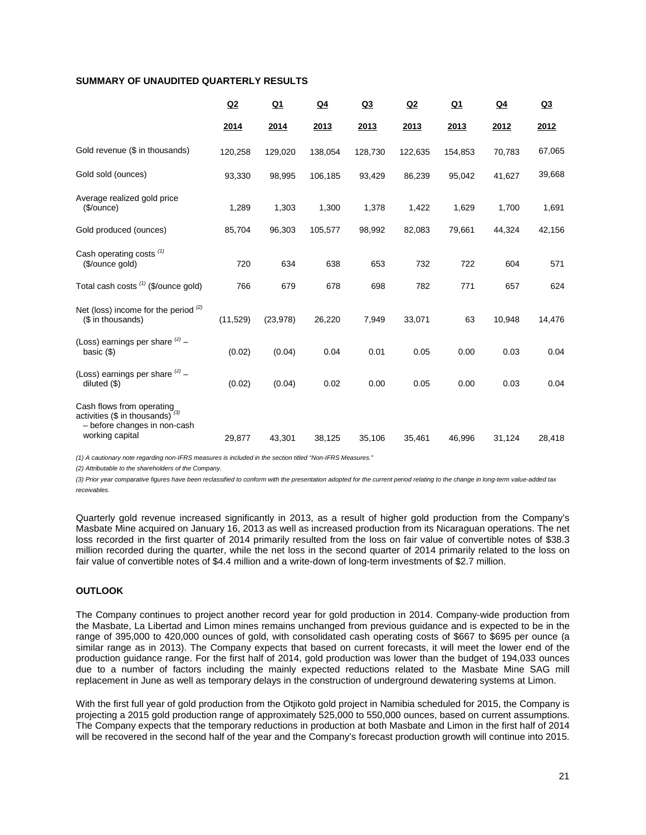# **SUMMARY OF UNAUDITED QUARTERLY RESULTS**

|                                                                                                                       | Q2        | $Q_1$     | $Q_4$   | Q <sub>3</sub> | Q2      | $Q_1$   | $Q_4$  | Q <sub>3</sub> |
|-----------------------------------------------------------------------------------------------------------------------|-----------|-----------|---------|----------------|---------|---------|--------|----------------|
|                                                                                                                       | 2014      | 2014      | 2013    | 2013           | 2013    | 2013    | 2012   | 2012           |
| Gold revenue (\$ in thousands)                                                                                        | 120,258   | 129,020   | 138,054 | 128,730        | 122,635 | 154,853 | 70,783 | 67,065         |
| Gold sold (ounces)                                                                                                    | 93,330    | 98,995    | 106,185 | 93,429         | 86,239  | 95,042  | 41,627 | 39,668         |
| Average realized gold price<br>( <b>§</b> /ounce)                                                                     | 1,289     | 1,303     | 1,300   | 1,378          | 1,422   | 1,629   | 1,700  | 1,691          |
| Gold produced (ounces)                                                                                                | 85,704    | 96,303    | 105,577 | 98,992         | 82,083  | 79,661  | 44,324 | 42,156         |
| Cash operating costs $(1)$<br>(\$/ounce gold)                                                                         | 720       | 634       | 638     | 653            | 732     | 722     | 604    | 571            |
| Total cash costs (1) (\$/ounce gold)                                                                                  | 766       | 679       | 678     | 698            | 782     | 771     | 657    | 624            |
| Net (loss) income for the period $(2)$<br>(\$ in thousands)                                                           | (11, 529) | (23, 978) | 26,220  | 7,949          | 33,071  | 63      | 10,948 | 14,476         |
| (Loss) earnings per share $(2)$ -<br>basic $($                                                                        | (0.02)    | (0.04)    | 0.04    | 0.01           | 0.05    | 0.00    | 0.03   | 0.04           |
| (Loss) earnings per share $(2)$ -<br>diluted $($ \$)                                                                  | (0.02)    | (0.04)    | 0.02    | 0.00           | 0.05    | 0.00    | 0.03   | 0.04           |
| Cash flows from operating<br>activities (\$ in thousands) $^{(3)}$<br>- before changes in non-cash<br>working capital | 29,877    | 43,301    | 38,125  | 35,106         | 35,461  | 46,996  | 31,124 | 28,418         |
|                                                                                                                       |           |           |         |                |         |         |        |                |

*(1) A cautionary note regarding non-IFRS measures is included in the section titled "Non-IFRS Measures."* 

*(2) Attributable to the shareholders of the Company.*

*(3) Prior year comparative figures have been reclassified to conform with the presentation adopted for the current period relating to the change in long-term value-added tax receivables.* 

Quarterly gold revenue increased significantly in 2013, as a result of higher gold production from the Company's Masbate Mine acquired on January 16, 2013 as well as increased production from its Nicaraguan operations. The net loss recorded in the first quarter of 2014 primarily resulted from the loss on fair value of convertible notes of \$38.3 million recorded during the quarter, while the net loss in the second quarter of 2014 primarily related to the loss on fair value of convertible notes of \$4.4 million and a write-down of long-term investments of \$2.7 million.

# **OUTLOOK**

The Company continues to project another record year for gold production in 2014. Company-wide production from the Masbate, La Libertad and Limon mines remains unchanged from previous guidance and is expected to be in the range of 395,000 to 420,000 ounces of gold, with consolidated cash operating costs of \$667 to \$695 per ounce (a similar range as in 2013). The Company expects that based on current forecasts, it will meet the lower end of the production guidance range. For the first half of 2014, gold production was lower than the budget of 194,033 ounces due to a number of factors including the mainly expected reductions related to the Masbate Mine SAG mill replacement in June as well as temporary delays in the construction of underground dewatering systems at Limon.

With the first full year of gold production from the Otjikoto gold project in Namibia scheduled for 2015, the Company is projecting a 2015 gold production range of approximately 525,000 to 550,000 ounces, based on current assumptions. The Company expects that the temporary reductions in production at both Masbate and Limon in the first half of 2014 will be recovered in the second half of the year and the Company's forecast production growth will continue into 2015.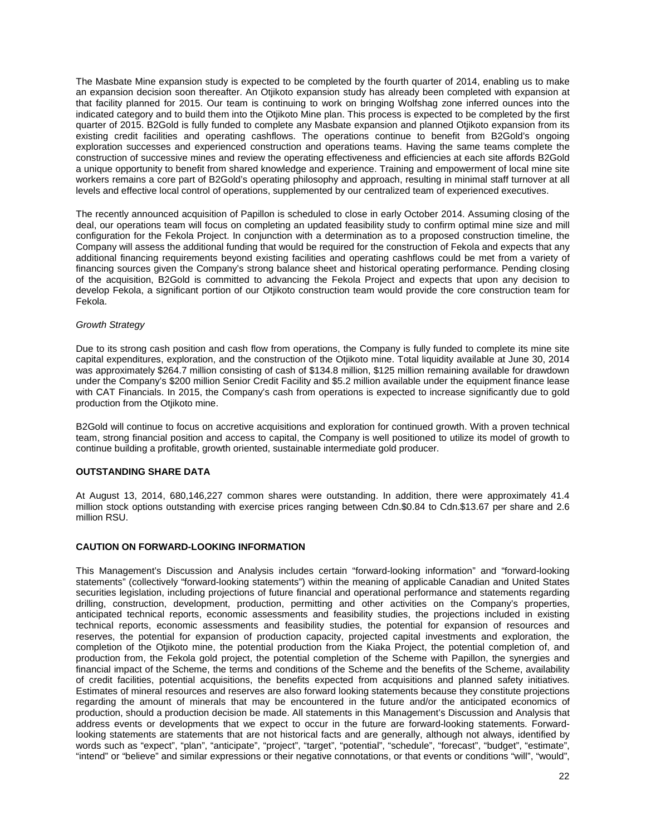The Masbate Mine expansion study is expected to be completed by the fourth quarter of 2014, enabling us to make an expansion decision soon thereafter. An Otjikoto expansion study has already been completed with expansion at that facility planned for 2015. Our team is continuing to work on bringing Wolfshag zone inferred ounces into the indicated category and to build them into the Otjikoto Mine plan. This process is expected to be completed by the first quarter of 2015. B2Gold is fully funded to complete any Masbate expansion and planned Otjikoto expansion from its existing credit facilities and operating cashflows. The operations continue to benefit from B2Gold's ongoing exploration successes and experienced construction and operations teams. Having the same teams complete the construction of successive mines and review the operating effectiveness and efficiencies at each site affords B2Gold a unique opportunity to benefit from shared knowledge and experience. Training and empowerment of local mine site workers remains a core part of B2Gold's operating philosophy and approach, resulting in minimal staff turnover at all levels and effective local control of operations, supplemented by our centralized team of experienced executives.

The recently announced acquisition of Papillon is scheduled to close in early October 2014. Assuming closing of the deal, our operations team will focus on completing an updated feasibility study to confirm optimal mine size and mill configuration for the Fekola Project. In conjunction with a determination as to a proposed construction timeline, the Company will assess the additional funding that would be required for the construction of Fekola and expects that any additional financing requirements beyond existing facilities and operating cashflows could be met from a variety of financing sources given the Company's strong balance sheet and historical operating performance. Pending closing of the acquisition, B2Gold is committed to advancing the Fekola Project and expects that upon any decision to develop Fekola, a significant portion of our Otjikoto construction team would provide the core construction team for Fekola.

#### *Growth Strategy*

Due to its strong cash position and cash flow from operations, the Company is fully funded to complete its mine site capital expenditures, exploration, and the construction of the Otjikoto mine. Total liquidity available at June 30, 2014 was approximately \$264.7 million consisting of cash of \$134.8 million, \$125 million remaining available for drawdown under the Company's \$200 million Senior Credit Facility and \$5.2 million available under the equipment finance lease with CAT Financials. In 2015, the Company's cash from operations is expected to increase significantly due to gold production from the Otjikoto mine.

B2Gold will continue to focus on accretive acquisitions and exploration for continued growth. With a proven technical team, strong financial position and access to capital, the Company is well positioned to utilize its model of growth to continue building a profitable, growth oriented, sustainable intermediate gold producer.

# **OUTSTANDING SHARE DATA**

At August 13, 2014, 680,146,227 common shares were outstanding. In addition, there were approximately 41.4 million stock options outstanding with exercise prices ranging between Cdn.\$0.84 to Cdn.\$13.67 per share and 2.6 million RSU.

# **CAUTION ON FORWARD-LOOKING INFORMATION**

This Management's Discussion and Analysis includes certain "forward-looking information" and "forward-looking statements" (collectively "forward-looking statements") within the meaning of applicable Canadian and United States securities legislation, including projections of future financial and operational performance and statements regarding drilling, construction, development, production, permitting and other activities on the Company's properties, anticipated technical reports, economic assessments and feasibility studies, the projections included in existing technical reports, economic assessments and feasibility studies, the potential for expansion of resources and reserves, the potential for expansion of production capacity, projected capital investments and exploration, the completion of the Otjikoto mine, the potential production from the Kiaka Project, the potential completion of, and production from, the Fekola gold project, the potential completion of the Scheme with Papillon, the synergies and financial impact of the Scheme, the terms and conditions of the Scheme and the benefits of the Scheme, availability of credit facilities, potential acquisitions, the benefits expected from acquisitions and planned safety initiatives. Estimates of mineral resources and reserves are also forward looking statements because they constitute projections regarding the amount of minerals that may be encountered in the future and/or the anticipated economics of production, should a production decision be made. All statements in this Management's Discussion and Analysis that address events or developments that we expect to occur in the future are forward-looking statements. Forwardlooking statements are statements that are not historical facts and are generally, although not always, identified by words such as "expect", "plan", "anticipate", "project", "target", "potential", "schedule", "forecast", "budget", "estimate", "intend" or "believe" and similar expressions or their negative connotations, or that events or conditions "will", "would",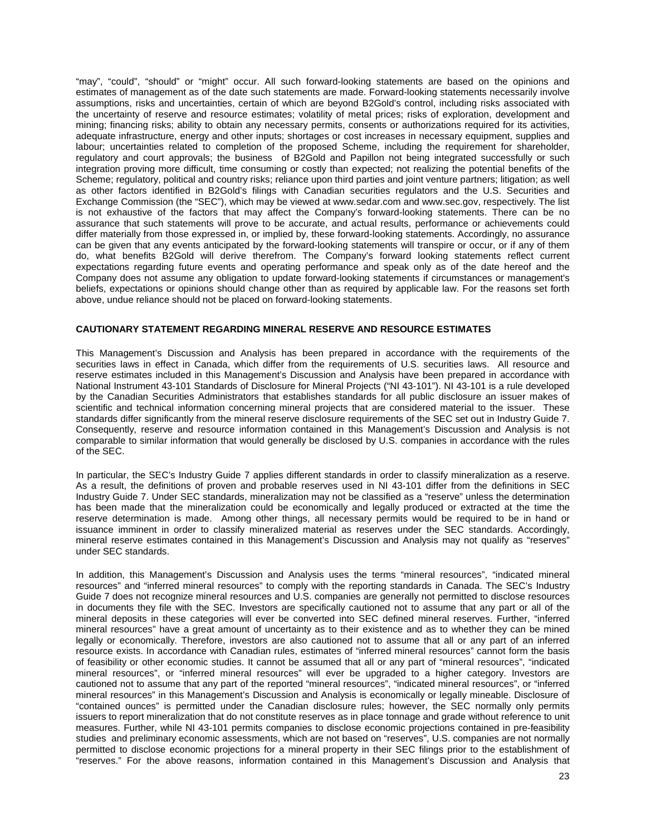"may", "could", "should" or "might" occur. All such forward-looking statements are based on the opinions and estimates of management as of the date such statements are made. Forward-looking statements necessarily involve assumptions, risks and uncertainties, certain of which are beyond B2Gold's control, including risks associated with the uncertainty of reserve and resource estimates; volatility of metal prices; risks of exploration, development and mining; financing risks; ability to obtain any necessary permits, consents or authorizations required for its activities, adequate infrastructure, energy and other inputs; shortages or cost increases in necessary equipment, supplies and labour; uncertainties related to completion of the proposed Scheme, including the requirement for shareholder, regulatory and court approvals; the business of B2Gold and Papillon not being integrated successfully or such integration proving more difficult, time consuming or costly than expected; not realizing the potential benefits of the Scheme; regulatory, political and country risks; reliance upon third parties and joint venture partners; litigation; as well as other factors identified in B2Gold's filings with Canadian securities regulators and the U.S. Securities and Exchange Commission (the "SEC"), which may be viewed at www.sedar.com and www.sec.gov, respectively. The list is not exhaustive of the factors that may affect the Company's forward-looking statements. There can be no assurance that such statements will prove to be accurate, and actual results, performance or achievements could differ materially from those expressed in, or implied by, these forward-looking statements. Accordingly, no assurance can be given that any events anticipated by the forward-looking statements will transpire or occur, or if any of them do, what benefits B2Gold will derive therefrom. The Company's forward looking statements reflect current expectations regarding future events and operating performance and speak only as of the date hereof and the Company does not assume any obligation to update forward-looking statements if circumstances or management's beliefs, expectations or opinions should change other than as required by applicable law. For the reasons set forth above, undue reliance should not be placed on forward-looking statements.

# **CAUTIONARY STATEMENT REGARDING MINERAL RESERVE AND RESOURCE ESTIMATES**

This Management's Discussion and Analysis has been prepared in accordance with the requirements of the securities laws in effect in Canada, which differ from the requirements of U.S. securities laws. All resource and reserve estimates included in this Management's Discussion and Analysis have been prepared in accordance with National Instrument 43-101 Standards of Disclosure for Mineral Projects ("NI 43-101"). NI 43-101 is a rule developed by the Canadian Securities Administrators that establishes standards for all public disclosure an issuer makes of scientific and technical information concerning mineral projects that are considered material to the issuer. These standards differ significantly from the mineral reserve disclosure requirements of the SEC set out in Industry Guide 7. Consequently, reserve and resource information contained in this Management's Discussion and Analysis is not comparable to similar information that would generally be disclosed by U.S. companies in accordance with the rules of the SEC.

In particular, the SEC's Industry Guide 7 applies different standards in order to classify mineralization as a reserve. As a result, the definitions of proven and probable reserves used in NI 43-101 differ from the definitions in SEC Industry Guide 7. Under SEC standards, mineralization may not be classified as a "reserve" unless the determination has been made that the mineralization could be economically and legally produced or extracted at the time the reserve determination is made. Among other things, all necessary permits would be required to be in hand or issuance imminent in order to classify mineralized material as reserves under the SEC standards. Accordingly, mineral reserve estimates contained in this Management's Discussion and Analysis may not qualify as "reserves" under SEC standards.

In addition, this Management's Discussion and Analysis uses the terms "mineral resources", "indicated mineral resources" and "inferred mineral resources" to comply with the reporting standards in Canada. The SEC's Industry Guide 7 does not recognize mineral resources and U.S. companies are generally not permitted to disclose resources in documents they file with the SEC. Investors are specifically cautioned not to assume that any part or all of the mineral deposits in these categories will ever be converted into SEC defined mineral reserves. Further, "inferred mineral resources" have a great amount of uncertainty as to their existence and as to whether they can be mined legally or economically. Therefore, investors are also cautioned not to assume that all or any part of an inferred resource exists. In accordance with Canadian rules, estimates of "inferred mineral resources" cannot form the basis of feasibility or other economic studies. It cannot be assumed that all or any part of "mineral resources", "indicated mineral resources", or "inferred mineral resources" will ever be upgraded to a higher category. Investors are cautioned not to assume that any part of the reported "mineral resources", "indicated mineral resources", or "inferred mineral resources" in this Management's Discussion and Analysis is economically or legally mineable. Disclosure of "contained ounces" is permitted under the Canadian disclosure rules; however, the SEC normally only permits issuers to report mineralization that do not constitute reserves as in place tonnage and grade without reference to unit measures. Further, while NI 43-101 permits companies to disclose economic projections contained in pre-feasibility studies and preliminary economic assessments, which are not based on "reserves", U.S. companies are not normally permitted to disclose economic projections for a mineral property in their SEC filings prior to the establishment of "reserves." For the above reasons, information contained in this Management's Discussion and Analysis that